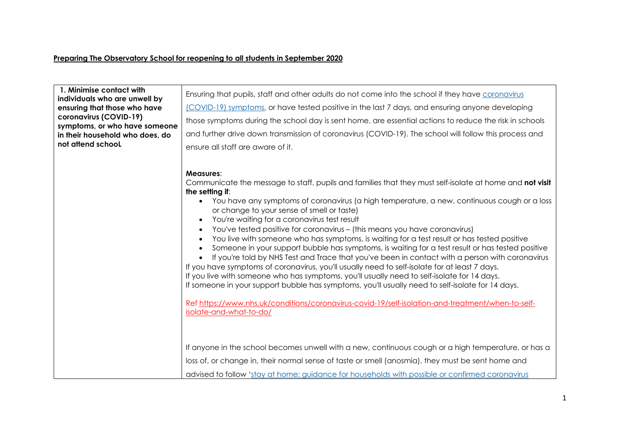## **Preparing The Observatory School for reopening to all students in September 2020**

| 1. Minimise contact with<br>individuals who are unwell by<br>ensuring that those who have<br>coronavirus (COVID-19)<br>symptoms, or who have someone<br>in their household who does, do<br>not attend school | Ensuring that pupils, staff and other adults do not come into the school if they have coronavirus<br>(COVID-19) symptoms, or have tested positive in the last 7 days, and ensuring anyone developing<br>those symptoms during the school day is sent home, are essential actions to reduce the risk in schools<br>and further drive down transmission of coronavirus (COVID-19). The school will follow this process and<br>ensure all staff are aware of it.                                                                                                                                                                                                                                                                                                                                                                                                                                                                                                                                                                                                                                                                                                                                                                                                                                                                                                                                                                                                                              |
|--------------------------------------------------------------------------------------------------------------------------------------------------------------------------------------------------------------|--------------------------------------------------------------------------------------------------------------------------------------------------------------------------------------------------------------------------------------------------------------------------------------------------------------------------------------------------------------------------------------------------------------------------------------------------------------------------------------------------------------------------------------------------------------------------------------------------------------------------------------------------------------------------------------------------------------------------------------------------------------------------------------------------------------------------------------------------------------------------------------------------------------------------------------------------------------------------------------------------------------------------------------------------------------------------------------------------------------------------------------------------------------------------------------------------------------------------------------------------------------------------------------------------------------------------------------------------------------------------------------------------------------------------------------------------------------------------------------------|
|                                                                                                                                                                                                              | Measures:<br>Communicate the message to staff, pupils and families that they must self-isolate at home and not visit<br>the setting if:<br>• You have any symptoms of coronavirus (a high temperature, a new, continuous cough or a loss<br>or change to your sense of smell or taste)<br>You're waiting for a coronavirus test result<br>$\bullet$<br>You've tested positive for coronavirus - (this means you have coronavirus)<br>You live with someone who has symptoms, is waiting for a test result or has tested positive<br>Someone in your support bubble has symptoms, is waiting for a test result or has tested positive<br>If you're told by NHS Test and Trace that you've been in contact with a person with coronavirus<br>If you have symptoms of coronavirus, you'll usually need to self-isolate for at least 7 days.<br>If you live with someone who has symptoms, you'll usually need to self-isolate for 14 days.<br>If someone in your support bubble has symptoms, you'll usually need to self-isolate for 14 days.<br>Ref https://www.nhs.uk/conditions/coronavirus-covid-19/self-isolation-and-treatment/when-to-self-<br>isolate-and-what-to-do/<br>If anyone in the school becomes unwell with a new, continuous cough or a high temperature, or has a<br>loss of, or change in, their normal sense of taste or smell (anosmia), they must be sent home and<br>advised to follow 'stay at home: guidance for households with possible or confirmed coronavirus |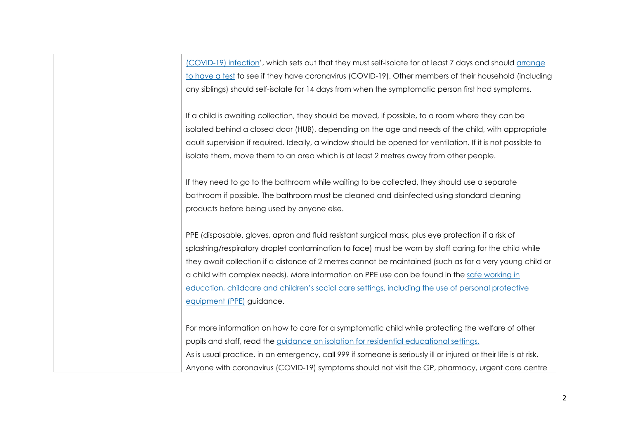(COVID-19) infection', which sets out that they must self-isolate for at least 7 days and should arrange to have a test to see if they have coronavirus (COVID-19). Other members of their household (including any siblings) should self-isolate for 14 days from when the symptomatic person first had symptoms.

If a child is awaiting collection, they should be moved, if possible, to a room where they can be isolated behind a closed door (HUB), depending on the age and needs of the child, with appropriate adult supervision if required. Ideally, a window should be opened for ventilation. If it is not possible to isolate them, move them to an area which is at least 2 metres away from other people.

If they need to go to the bathroom while waiting to be collected, they should use a separate bathroom if possible. The bathroom must be cleaned and disinfected using standard cleaning products before being used by anyone else.

PPE (disposable, gloves, apron and fluid resistant surgical mask, plus eye protection if a risk of splashing/respiratory droplet contamination to face) must be worn by staff caring for the child while they await collection if a distance of 2 metres cannot be maintained (such as for a very young child or a child with complex needs). More information on PPE use can be found in the safe working in education, childcare and children's social care settings, including the use of personal protective equipment (PPE) guidance.

For more information on how to care for a symptomatic child while protecting the welfare of other pupils and staff, read the guidance on isolation for residential educational settings. As is usual practice, in an emergency, call 999 if someone is seriously ill or injured or their life is at risk. Anyone with coronavirus (COVID-19) symptoms should not visit the GP, pharmacy, urgent care centre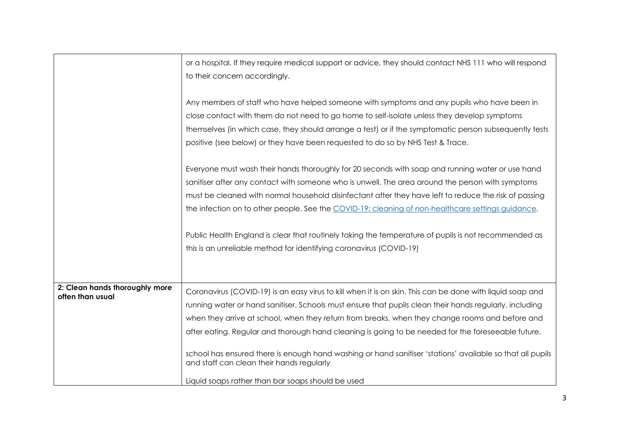|                                                    | or a hospital. If they require medical support or advice, they should contact NHS 111 who will respond<br>to their concern accordingly.                                                                                                                                                                                                                                                                                                                                                                                                                                                                                                      |
|----------------------------------------------------|----------------------------------------------------------------------------------------------------------------------------------------------------------------------------------------------------------------------------------------------------------------------------------------------------------------------------------------------------------------------------------------------------------------------------------------------------------------------------------------------------------------------------------------------------------------------------------------------------------------------------------------------|
|                                                    | Any members of staff who have helped someone with symptoms and any pupils who have been in<br>close contact with them do not need to go home to self-isolate unless they develop symptoms<br>themselves (in which case, they should arrange a test) or if the symptomatic person subsequently tests<br>positive (see below) or they have been requested to do so by NHS Test & Trace.                                                                                                                                                                                                                                                        |
|                                                    | Everyone must wash their hands thoroughly for 20 seconds with soap and running water or use hand<br>sanitiser after any contact with someone who is unwell. The area around the person with symptoms<br>must be cleaned with normal household disinfectant after they have left to reduce the risk of passing<br>the infection on to other people. See the COVID-19: cleaning of non-healthcare settings guidance.                                                                                                                                                                                                                           |
|                                                    | Public Health England is clear that routinely taking the temperature of pupils is not recommended as<br>this is an unreliable method for identifying coronavirus (COVID-19)                                                                                                                                                                                                                                                                                                                                                                                                                                                                  |
| 2: Clean hands thoroughly more<br>often than usual | Coronavirus (COVID-19) is an easy virus to kill when it is on skin. This can be done with liquid soap and<br>running water or hand sanitiser. Schools must ensure that pupils clean their hands regularly, including<br>when they arrive at school, when they return from breaks, when they change rooms and before and<br>after eating. Regular and thorough hand cleaning is going to be needed for the foreseeable future.<br>school has ensured there is enough hand washing or hand sanitiser 'stations' available so that all pupils<br>and staff can clean their hands regularly<br>Liquid soaps rather than bar soaps should be used |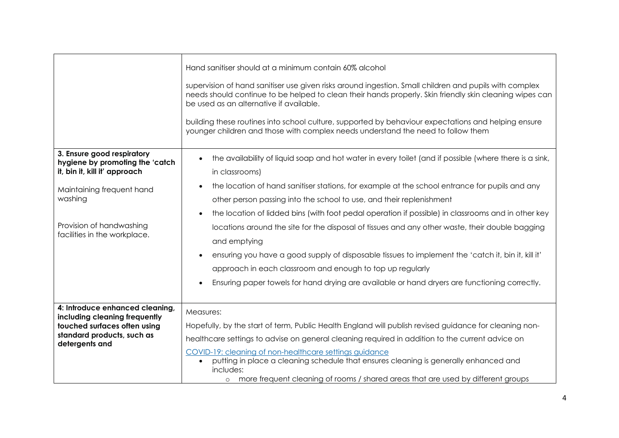|                                                                                                                                                  | Hand sanifiser should at a minimum contain 60% alcohol<br>supervision of hand sanifiser use given risks around ingestion. Small children and pupils with complex<br>needs should continue to be helped to clean their hands properly. Skin friendly skin cleaning wipes can<br>be used as an alternative if available.<br>building these routines into school culture, supported by behaviour expectations and helping ensure<br>younger children and those with complex needs understand the need to follow them |  |  |  |  |  |  |
|--------------------------------------------------------------------------------------------------------------------------------------------------|-------------------------------------------------------------------------------------------------------------------------------------------------------------------------------------------------------------------------------------------------------------------------------------------------------------------------------------------------------------------------------------------------------------------------------------------------------------------------------------------------------------------|--|--|--|--|--|--|
| 3. Ensure good respiratory<br>hygiene by promoting the 'catch<br>it, bin it, kill it' approach                                                   | the availability of liquid soap and hot water in every toilet (and if possible (where there is a sink,<br>in classrooms)                                                                                                                                                                                                                                                                                                                                                                                          |  |  |  |  |  |  |
| Maintaining frequent hand<br>washing                                                                                                             | the location of hand sanitiser stations, for example at the school entrance for pupils and any<br>$\bullet$<br>other person passing into the school to use, and their replenishment<br>the location of lidded bins (with foot pedal operation if possible) in classrooms and in other key<br>$\bullet$                                                                                                                                                                                                            |  |  |  |  |  |  |
| Provision of handwashing<br>facilities in the workplace.                                                                                         | locations around the site for the disposal of tissues and any other waste, their double bagging<br>and emptying<br>ensuring you have a good supply of disposable tissues to implement the 'catch it, bin it, kill it'<br>approach in each classroom and enough to top up regularly                                                                                                                                                                                                                                |  |  |  |  |  |  |
|                                                                                                                                                  | Ensuring paper towels for hand drying are available or hand dryers are functioning correctly.                                                                                                                                                                                                                                                                                                                                                                                                                     |  |  |  |  |  |  |
| 4: Introduce enhanced cleaning,<br>including cleaning frequently<br>touched surfaces often using<br>standard products, such as<br>detergents and | Measures:<br>Hopefully, by the start of term, Public Health England will publish revised guidance for cleaning non-<br>healthcare settings to advise on general cleaning required in addition to the current advice on<br>COVID-19: cleaning of non-healthcare settings guidance<br>putting in place a cleaning schedule that ensures cleaning is generally enhanced and<br>$\bullet$<br>includes:                                                                                                                |  |  |  |  |  |  |
|                                                                                                                                                  | o more frequent cleaning of rooms / shared areas that are used by different groups                                                                                                                                                                                                                                                                                                                                                                                                                                |  |  |  |  |  |  |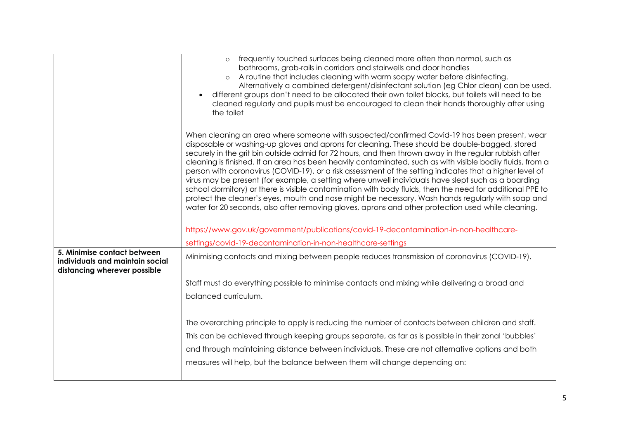|                                                                                                | frequently touched surfaces being cleaned more often than normal, such as<br>$\circ$<br>bathrooms, grab-rails in corridors and stairwells and door handles                                                                                                                                                                                                                                                                                                                                                                                                                                                                                                                                                                                                                                                                                                                                                                                                        |
|------------------------------------------------------------------------------------------------|-------------------------------------------------------------------------------------------------------------------------------------------------------------------------------------------------------------------------------------------------------------------------------------------------------------------------------------------------------------------------------------------------------------------------------------------------------------------------------------------------------------------------------------------------------------------------------------------------------------------------------------------------------------------------------------------------------------------------------------------------------------------------------------------------------------------------------------------------------------------------------------------------------------------------------------------------------------------|
|                                                                                                | A routine that includes cleaning with warm soapy water before disinfecting.<br>$\circ$<br>Alternatively a combined detergent/disinfectant solution (eg Chlor clean) can be used.                                                                                                                                                                                                                                                                                                                                                                                                                                                                                                                                                                                                                                                                                                                                                                                  |
|                                                                                                | different groups don't need to be allocated their own toilet blocks, but toilets will need to be                                                                                                                                                                                                                                                                                                                                                                                                                                                                                                                                                                                                                                                                                                                                                                                                                                                                  |
|                                                                                                | cleaned regularly and pupils must be encouraged to clean their hands thoroughly after using<br>the toilet                                                                                                                                                                                                                                                                                                                                                                                                                                                                                                                                                                                                                                                                                                                                                                                                                                                         |
|                                                                                                | When cleaning an area where someone with suspected/confirmed Covid-19 has been present, wear<br>disposable or washing-up gloves and aprons for cleaning. These should be double-bagged, stored<br>securely in the grit bin outside admid for 72 hours, and then thrown away in the regular rubbish after<br>cleaning is finished. If an area has been heavily contaminated, such as with visible bodily fluids, from a<br>person with coronavirus (COVID-19), or a risk assessment of the setting indicates that a higher level of<br>virus may be present (for example, a setting where unwell individuals have slept such as a boarding<br>school dormitory) or there is visible contamination with body fluids, then the need for additional PPE to<br>protect the cleaner's eyes, mouth and nose might be necessary. Wash hands regularly with soap and<br>water for 20 seconds, also after removing gloves, aprons and other protection used while cleaning. |
|                                                                                                | https://www.gov.uk/government/publications/covid-19-decontamination-in-non-healthcare-                                                                                                                                                                                                                                                                                                                                                                                                                                                                                                                                                                                                                                                                                                                                                                                                                                                                            |
|                                                                                                | settings/covid-19-decontamination-in-non-healthcare-settings                                                                                                                                                                                                                                                                                                                                                                                                                                                                                                                                                                                                                                                                                                                                                                                                                                                                                                      |
| 5. Minimise contact between<br>individuals and maintain social<br>distancing wherever possible | Minimising contacts and mixing between people reduces transmission of coronavirus (COVID-19).                                                                                                                                                                                                                                                                                                                                                                                                                                                                                                                                                                                                                                                                                                                                                                                                                                                                     |
|                                                                                                | Staff must do everything possible to minimise contacts and mixing while delivering a broad and                                                                                                                                                                                                                                                                                                                                                                                                                                                                                                                                                                                                                                                                                                                                                                                                                                                                    |
|                                                                                                | balanced curriculum.                                                                                                                                                                                                                                                                                                                                                                                                                                                                                                                                                                                                                                                                                                                                                                                                                                                                                                                                              |
|                                                                                                | The overarching principle to apply is reducing the number of contacts between children and staff.                                                                                                                                                                                                                                                                                                                                                                                                                                                                                                                                                                                                                                                                                                                                                                                                                                                                 |
|                                                                                                | This can be achieved through keeping groups separate, as far as is possible in their zonal 'bubbles'                                                                                                                                                                                                                                                                                                                                                                                                                                                                                                                                                                                                                                                                                                                                                                                                                                                              |
|                                                                                                | and through maintaining distance between individuals. These are not alternative options and both                                                                                                                                                                                                                                                                                                                                                                                                                                                                                                                                                                                                                                                                                                                                                                                                                                                                  |
|                                                                                                | measures will help, but the balance between them will change depending on:                                                                                                                                                                                                                                                                                                                                                                                                                                                                                                                                                                                                                                                                                                                                                                                                                                                                                        |
|                                                                                                |                                                                                                                                                                                                                                                                                                                                                                                                                                                                                                                                                                                                                                                                                                                                                                                                                                                                                                                                                                   |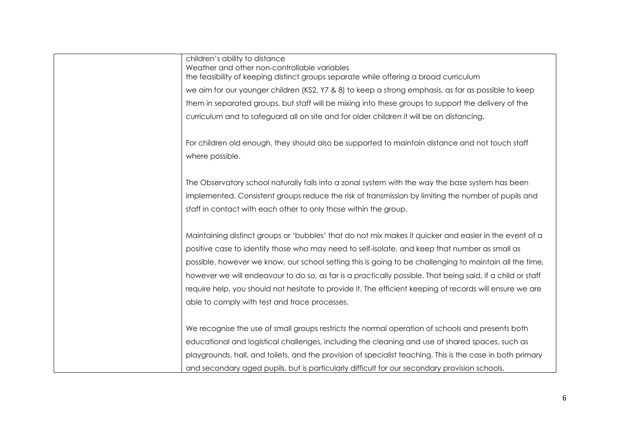| children's ability to distance<br>Weather and other non-controllable variables<br>the feasibility of keeping distinct groups separate while offering a broad curriculum |
|-------------------------------------------------------------------------------------------------------------------------------------------------------------------------|
| we aim for our younger children (KS2, Y7 & 8) to keep a strong emphasis, as far as possible to keep                                                                     |
| them in separated groups, but staff will be mixing into these groups to support the delivery of the                                                                     |
| curriculum and to safeguard all on site and for older children it will be on distancing.                                                                                |
| For children old enough, they should also be supported to maintain distance and not touch staff                                                                         |
| where possible.                                                                                                                                                         |
| The Observatory school naturally falls into a zonal system with the way the base system has been                                                                        |
| implemented. Consistent groups reduce the risk of transmission by limiting the number of pupils and                                                                     |
| staff in contact with each other to only those within the group.                                                                                                        |
|                                                                                                                                                                         |
| Maintaining distinct groups or 'bubbles' that do not mix makes it quicker and easier in the event of a                                                                  |
| positive case to identify those who may need to self-isolate, and keep that number as small as                                                                          |
| possible, however we know, our school setting this is going to be challenging to maintain all the time,                                                                 |
| however we will endeavour to do so, as far is a practically possible. That being said, if a child or staff                                                              |
| require help, you should not hesitate to provide it. The efficient keeping of records will ensure we are                                                                |
| able to comply with test and trace processes.                                                                                                                           |
|                                                                                                                                                                         |
| We recognise the use of small groups restricts the normal operation of schools and presents both                                                                        |
| educational and logistical challenges, including the cleaning and use of shared spaces, such as                                                                         |
| playgrounds, hall, and toilets, and the provision of specialist teaching. This is the case in both primary                                                              |
| and secondary aged pupils, but is particularly difficult for our secondary provision schools.                                                                           |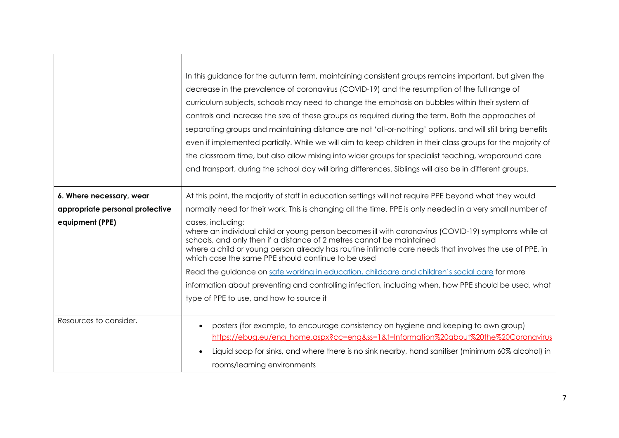|                                 | In this guidance for the autumn term, maintaining consistent groups remains important, but given the                                                                                                                                                                                                                                                              |  |  |  |  |  |  |  |
|---------------------------------|-------------------------------------------------------------------------------------------------------------------------------------------------------------------------------------------------------------------------------------------------------------------------------------------------------------------------------------------------------------------|--|--|--|--|--|--|--|
|                                 | decrease in the prevalence of coronavirus (COVID-19) and the resumption of the full range of                                                                                                                                                                                                                                                                      |  |  |  |  |  |  |  |
|                                 | curriculum subjects, schools may need to change the emphasis on bubbles within their system of                                                                                                                                                                                                                                                                    |  |  |  |  |  |  |  |
|                                 | controls and increase the size of these groups as required during the term. Both the approaches of                                                                                                                                                                                                                                                                |  |  |  |  |  |  |  |
|                                 | separating groups and maintaining distance are not 'all-or-nothing' options, and will still bring benefits                                                                                                                                                                                                                                                        |  |  |  |  |  |  |  |
|                                 | even if implemented partially. While we will aim to keep children in their class groups for the majority of                                                                                                                                                                                                                                                       |  |  |  |  |  |  |  |
|                                 | the classroom time, but also allow mixing into wider groups for specialist teaching, wraparound care                                                                                                                                                                                                                                                              |  |  |  |  |  |  |  |
|                                 | and transport, during the school day will bring differences. Siblings will also be in different groups.                                                                                                                                                                                                                                                           |  |  |  |  |  |  |  |
|                                 |                                                                                                                                                                                                                                                                                                                                                                   |  |  |  |  |  |  |  |
| 6. Where necessary, wear        | At this point, the majority of staff in education settings will not require PPE beyond what they would                                                                                                                                                                                                                                                            |  |  |  |  |  |  |  |
| appropriate personal protective | normally need for their work. This is changing all the time. PPE is only needed in a very small number of                                                                                                                                                                                                                                                         |  |  |  |  |  |  |  |
| equipment (PPE)                 | cases, including:<br>where an individual child or young person becomes ill with coronavirus (COVID-19) symptoms while at<br>schools, and only then if a distance of 2 metres cannot be maintained<br>where a child or young person already has routine intimate care needs that involves the use of PPE, in<br>which case the same PPE should continue to be used |  |  |  |  |  |  |  |
|                                 | Read the guidance on safe working in education, childcare and children's social care for more                                                                                                                                                                                                                                                                     |  |  |  |  |  |  |  |
|                                 | information about preventing and controlling infection, including when, how PPE should be used, what                                                                                                                                                                                                                                                              |  |  |  |  |  |  |  |
|                                 | type of PPE to use, and how to source it                                                                                                                                                                                                                                                                                                                          |  |  |  |  |  |  |  |
|                                 |                                                                                                                                                                                                                                                                                                                                                                   |  |  |  |  |  |  |  |
| Resources to consider.          | posters (for example, to encourage consistency on hygiene and keeping to own group)                                                                                                                                                                                                                                                                               |  |  |  |  |  |  |  |
|                                 | https://ebug.eu/eng_home.aspx?cc=eng&ss=1&t=Information%20about%20the%20Coronavirus                                                                                                                                                                                                                                                                               |  |  |  |  |  |  |  |
|                                 | Liquid soap for sinks, and where there is no sink nearby, hand sanitiser (minimum 60% alcohol) in                                                                                                                                                                                                                                                                 |  |  |  |  |  |  |  |
|                                 | rooms/learning environments                                                                                                                                                                                                                                                                                                                                       |  |  |  |  |  |  |  |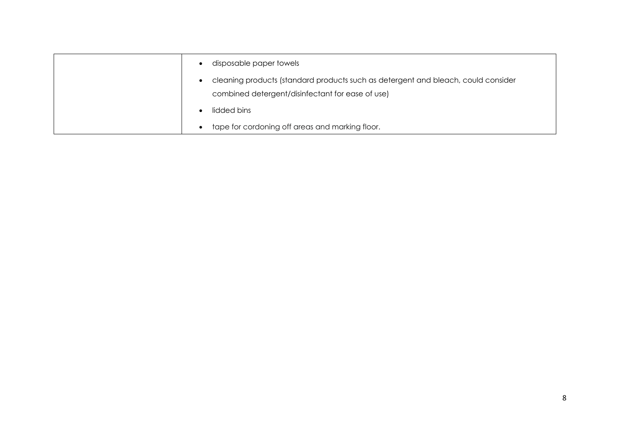| disposable paper towels                                                                                                               |
|---------------------------------------------------------------------------------------------------------------------------------------|
| cleaning products (standard products such as detergent and bleach, could consider<br>combined detergent/disinfectant for ease of use) |
| lidded bins                                                                                                                           |
| tape for cordoning off areas and marking floor.                                                                                       |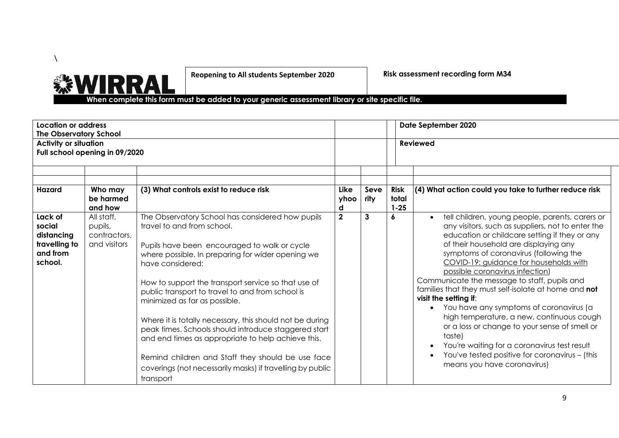

**Reopening to All students September 2020**

**Risk assessment recording form M34**

 **When complete this form must be added to your generic assessment library or site specific file.** 

| Location or address<br><b>The Observatory School</b>                    |                                                       |                                                                                                                                                                                                                                                                                                                                                                                                                                                                                                                                                                                                                                                              | Date September 2020 |                 |                                  |                                                                                                                                                                                                                                                                                                                                                                                                                                                                                                                                                                                                                                                                                                                                                         |  |
|-------------------------------------------------------------------------|-------------------------------------------------------|--------------------------------------------------------------------------------------------------------------------------------------------------------------------------------------------------------------------------------------------------------------------------------------------------------------------------------------------------------------------------------------------------------------------------------------------------------------------------------------------------------------------------------------------------------------------------------------------------------------------------------------------------------------|---------------------|-----------------|----------------------------------|---------------------------------------------------------------------------------------------------------------------------------------------------------------------------------------------------------------------------------------------------------------------------------------------------------------------------------------------------------------------------------------------------------------------------------------------------------------------------------------------------------------------------------------------------------------------------------------------------------------------------------------------------------------------------------------------------------------------------------------------------------|--|
| <b>Activity or situation</b><br>Full school opening in 09/2020          |                                                       |                                                                                                                                                                                                                                                                                                                                                                                                                                                                                                                                                                                                                                                              |                     | <b>Reviewed</b> |                                  |                                                                                                                                                                                                                                                                                                                                                                                                                                                                                                                                                                                                                                                                                                                                                         |  |
| Hazard                                                                  | Who may<br>be harmed<br>and how                       | (3) What controls exist to reduce risk                                                                                                                                                                                                                                                                                                                                                                                                                                                                                                                                                                                                                       | Like<br>yhoo<br>d   | Seve<br>rity    | <b>Risk</b><br>total<br>$1 - 25$ | $(4)$ What action could you take to further reduce risk                                                                                                                                                                                                                                                                                                                                                                                                                                                                                                                                                                                                                                                                                                 |  |
| Lack of<br>social<br>distancing<br>travelling to<br>and from<br>school. | All staff,<br>pupils,<br>contractors,<br>and visitors | The Observatory School has considered how pupils<br>travel to and from school.<br>Pupils have been encouraged to walk or cycle<br>where possible. In preparing for wider opening we<br>have considered:<br>How to support the transport service so that use of<br>public transport to travel to and from school is<br>minimized as far as possible.<br>Where it is totally necessary, this should not be during<br>peak times. Schools should introduce staggered start<br>and end times as appropriate to help achieve this.<br>Remind children and Staff they should be use face<br>coverings (not necessarily masks) if travelling by public<br>transport | $\overline{2}$      | 3               | <sub>6</sub>                     | tell children, young people, parents, carers or<br>$\bullet$<br>any visitors, such as suppliers, not to enter the<br>education or childcare setting if they or any<br>of their household are displaying any<br>symptoms of coronavirus (following the<br>COVID-19: guidance for households with<br>possible coronavirus infection)<br>Communicate the message to staff, pupils and<br>families that they must self-isolate at home and not<br>visit the setting if:<br>You have any symptoms of coronavirus (a<br>high temperature, a new, continuous cough<br>or a loss or change to your sense of smell or<br>taste)<br>You're waiting for a coronavirus test result<br>You've tested positive for coronavirus - (this<br>means you have coronavirus) |  |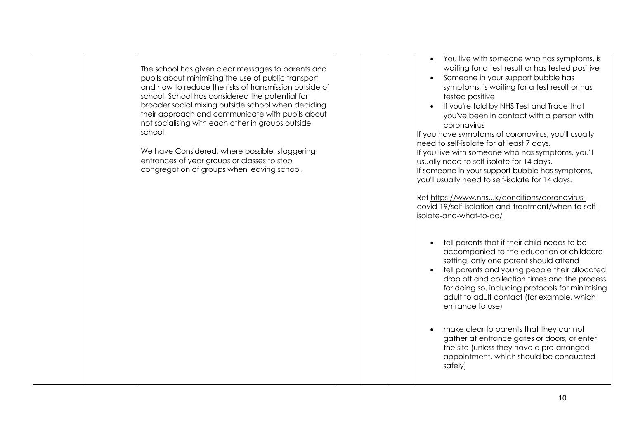| The school has given clear messages to parents and<br>pupils about minimising the use of public transport<br>and how to reduce the risks of transmission outside of<br>school. School has considered the potential for<br>broader social mixing outside school when deciding<br>their approach and communicate with pupils about<br>not socialising with each other in groups outside<br>school.<br>We have Considered, where possible, staggering<br>entrances of year groups or classes to stop<br>congregation of groups when leaving school. | You live with someone who has symptoms, is<br>$\bullet$<br>waiting for a test result or has tested positive<br>Someone in your support bubble has<br>symptoms, is waiting for a test result or has<br>tested positive<br>If you're told by NHS Test and Trace that<br>you've been in contact with a person with<br>coronavirus<br>If you have symptoms of coronavirus, you'll usually<br>need to self-isolate for at least 7 days.<br>If you live with someone who has symptoms, you'll<br>usually need to self-isolate for 14 days.<br>If someone in your support bubble has symptoms,<br>you'll usually need to self-isolate for 14 days.<br>Ref https://www.nhs.uk/conditions/coronavirus-<br>covid-19/self-isolation-and-treatment/when-to-self-<br>isolate-and-what-to-do/<br>tell parents that if their child needs to be<br>$\bullet$<br>accompanied to the education or childcare<br>setting, only one parent should attend<br>tell parents and young people their allocated<br>drop off and collection times and the process<br>for doing so, including protocols for minimising<br>adult to adult contact (for example, which<br>entrance to use)<br>make clear to parents that they cannot<br>$\bullet$<br>gather at entrance gates or doors, or enter<br>the site (unless they have a pre-arranged<br>appointment, which should be conducted<br>safely) |
|--------------------------------------------------------------------------------------------------------------------------------------------------------------------------------------------------------------------------------------------------------------------------------------------------------------------------------------------------------------------------------------------------------------------------------------------------------------------------------------------------------------------------------------------------|---------------------------------------------------------------------------------------------------------------------------------------------------------------------------------------------------------------------------------------------------------------------------------------------------------------------------------------------------------------------------------------------------------------------------------------------------------------------------------------------------------------------------------------------------------------------------------------------------------------------------------------------------------------------------------------------------------------------------------------------------------------------------------------------------------------------------------------------------------------------------------------------------------------------------------------------------------------------------------------------------------------------------------------------------------------------------------------------------------------------------------------------------------------------------------------------------------------------------------------------------------------------------------------------------------------------------------------------------------------------|
|--------------------------------------------------------------------------------------------------------------------------------------------------------------------------------------------------------------------------------------------------------------------------------------------------------------------------------------------------------------------------------------------------------------------------------------------------------------------------------------------------------------------------------------------------|---------------------------------------------------------------------------------------------------------------------------------------------------------------------------------------------------------------------------------------------------------------------------------------------------------------------------------------------------------------------------------------------------------------------------------------------------------------------------------------------------------------------------------------------------------------------------------------------------------------------------------------------------------------------------------------------------------------------------------------------------------------------------------------------------------------------------------------------------------------------------------------------------------------------------------------------------------------------------------------------------------------------------------------------------------------------------------------------------------------------------------------------------------------------------------------------------------------------------------------------------------------------------------------------------------------------------------------------------------------------|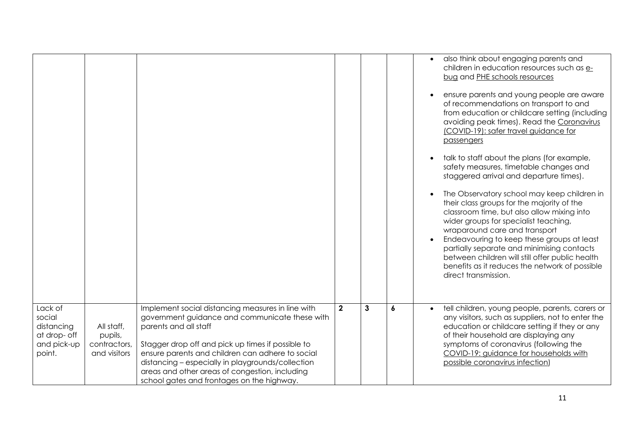|                                                                          |                                                       |                                                                                                                                                                                                                                                                                                                                                                                            |                |              |   | also think about engaging parents and<br>children in education resources such as e-<br>bug and PHE schools resources<br>ensure parents and young people are aware<br>of recommendations on transport to and<br>from education or childcare setting (including<br>avoiding peak times). Read the Coronavirus<br>(COVID-19): safer travel guidance for<br>passengers<br>talk to staff about the plans (for example,<br>$\bullet$<br>safety measures, timetable changes and<br>staggered arrival and departure times).<br>The Observatory school may keep children in<br>$\bullet$<br>their class groups for the majority of the<br>classroom time, but also allow mixing into<br>wider groups for specialist teaching,<br>wraparound care and transport<br>Endeavouring to keep these groups at least<br>partially separate and minimising contacts<br>between children will still offer public health<br>benefits as it reduces the network of possible<br>direct transmission. |
|--------------------------------------------------------------------------|-------------------------------------------------------|--------------------------------------------------------------------------------------------------------------------------------------------------------------------------------------------------------------------------------------------------------------------------------------------------------------------------------------------------------------------------------------------|----------------|--------------|---|--------------------------------------------------------------------------------------------------------------------------------------------------------------------------------------------------------------------------------------------------------------------------------------------------------------------------------------------------------------------------------------------------------------------------------------------------------------------------------------------------------------------------------------------------------------------------------------------------------------------------------------------------------------------------------------------------------------------------------------------------------------------------------------------------------------------------------------------------------------------------------------------------------------------------------------------------------------------------------|
| Lack of<br>social<br>distancing<br>at drop- off<br>and pick-up<br>point. | All staff,<br>pupils,<br>contractors,<br>and visitors | Implement social distancing measures in line with<br>government guidance and communicate these with<br>parents and all staff<br>Stagger drop off and pick up times if possible to<br>ensure parents and children can adhere to social<br>distancing - especially in playgrounds/collection<br>areas and other areas of congestion, including<br>school gates and frontages on the highway. | $\overline{2}$ | $\mathbf{3}$ | 6 | tell children, young people, parents, carers or<br>any visitors, such as suppliers, not to enter the<br>education or childcare setting if they or any<br>of their household are displaying any<br>symptoms of coronavirus (following the<br>COVID-19: guidance for households with<br>possible coronavirus infection)                                                                                                                                                                                                                                                                                                                                                                                                                                                                                                                                                                                                                                                          |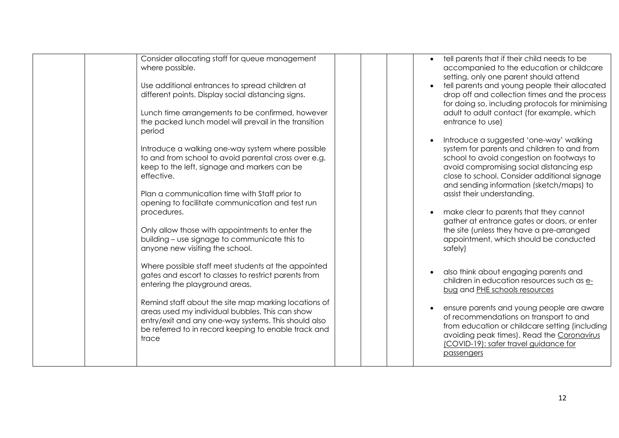| Consider allocating staff for queue management<br>where possible.<br>Use additional entrances to spread children at<br>different points. Display social distancing signs.<br>Lunch time arrangements to be confirmed, however<br>the packed lunch model will prevail in the transition<br>period<br>Introduce a walking one-way system where possible<br>to and from school to avoid parental cross over e.g.<br>keep to the left, signage and markers can be<br>effective.<br>Plan a communication time with Staff prior to<br>opening to facilitate communication and test run<br>procedures.<br>Only allow those with appointments to enter the<br>building - use signage to communicate this to<br>anyone new visiting the school. |  | tell parents that if their child needs to be<br>accompanied to the education or childcare<br>setting, only one parent should attend<br>tell parents and young people their allocated<br>drop off and collection times and the process<br>for doing so, including protocols for minimising<br>adult to adult contact (for example, which<br>entrance to use)<br>Introduce a suggested 'one-way' walking<br>system for parents and children to and from<br>school to avoid congestion on footways to<br>avoid compromising social distancing esp<br>close to school. Consider additional signage<br>and sending information (sketch/maps) to<br>assist their understanding.<br>make clear to parents that they cannot<br>gather at entrance gates or doors, or enter<br>the site (unless they have a pre-arranged<br>appointment, which should be conducted<br>safely) |
|----------------------------------------------------------------------------------------------------------------------------------------------------------------------------------------------------------------------------------------------------------------------------------------------------------------------------------------------------------------------------------------------------------------------------------------------------------------------------------------------------------------------------------------------------------------------------------------------------------------------------------------------------------------------------------------------------------------------------------------|--|----------------------------------------------------------------------------------------------------------------------------------------------------------------------------------------------------------------------------------------------------------------------------------------------------------------------------------------------------------------------------------------------------------------------------------------------------------------------------------------------------------------------------------------------------------------------------------------------------------------------------------------------------------------------------------------------------------------------------------------------------------------------------------------------------------------------------------------------------------------------|
| Where possible staff meet students at the appointed<br>gates and escort to classes to restrict parents from<br>entering the playground areas.<br>Remind staff about the site map marking locations of<br>areas used my individual bubbles. This can show<br>entry/exit and any one-way systems. This should also<br>be referred to in record keeping to enable track and<br>trace                                                                                                                                                                                                                                                                                                                                                      |  | also think about engaging parents and<br>children in education resources such as e-<br>bug and PHE schools resources<br>ensure parents and young people are aware<br>of recommendations on transport to and<br>from education or childcare setting (including<br>avoiding peak times). Read the Coronavirus<br>(COVID-19): safer travel guidance for<br>passengers                                                                                                                                                                                                                                                                                                                                                                                                                                                                                                   |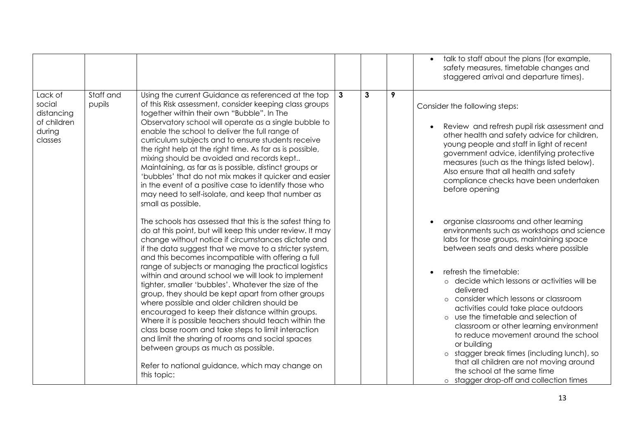|                                                                     |                     |                                                                                                                                                                                                                                                                                                                                                                                                                                                                                                                                                                                                                                                                                                                                                                                                                                                                                                           |              |              |   | talk to staff about the plans (for example,                                                                                                                                                                                                                                                                                                                                                                                                                                                                                                                                                                                                                      |
|---------------------------------------------------------------------|---------------------|-----------------------------------------------------------------------------------------------------------------------------------------------------------------------------------------------------------------------------------------------------------------------------------------------------------------------------------------------------------------------------------------------------------------------------------------------------------------------------------------------------------------------------------------------------------------------------------------------------------------------------------------------------------------------------------------------------------------------------------------------------------------------------------------------------------------------------------------------------------------------------------------------------------|--------------|--------------|---|------------------------------------------------------------------------------------------------------------------------------------------------------------------------------------------------------------------------------------------------------------------------------------------------------------------------------------------------------------------------------------------------------------------------------------------------------------------------------------------------------------------------------------------------------------------------------------------------------------------------------------------------------------------|
|                                                                     |                     |                                                                                                                                                                                                                                                                                                                                                                                                                                                                                                                                                                                                                                                                                                                                                                                                                                                                                                           |              |              |   | safety measures, timetable changes and<br>staggered arrival and departure times).                                                                                                                                                                                                                                                                                                                                                                                                                                                                                                                                                                                |
| Lack of<br>social<br>distancing<br>of children<br>during<br>classes | Staff and<br>pupils | Using the current Guidance as referenced at the top<br>of this Risk assessment, consider keeping class groups<br>together within their own "Bubble". In The<br>Observatory school will operate as a single bubble to<br>enable the school to deliver the full range of<br>curriculum subjects and to ensure students receive<br>the right help at the right time. As far as is possible,<br>mixing should be avoided and records kept<br>Maintaining, as far as is possible, distinct groups or<br>'bubbles' that do not mix makes it quicker and easier<br>in the event of a positive case to identify those who<br>may need to self-isolate, and keep that number as<br>small as possible.                                                                                                                                                                                                              | $\mathbf{3}$ | $\mathbf{3}$ | 9 | Consider the following steps:<br>Review and refresh pupil risk assessment and<br>other health and safety advice for children,<br>young people and staff in light of recent<br>government advice, identifying protective<br>measures (such as the things listed below).<br>Also ensure that all health and safety<br>compliance checks have been undertaken<br>before opening                                                                                                                                                                                                                                                                                     |
|                                                                     |                     | The schools has assessed that this is the safest thing to<br>do at this point, but will keep this under review. It may<br>change without notice if circumstances dictate and<br>if the data suggest that we move to a stricter system,<br>and this becomes incompatible with offering a full<br>range of subjects or managing the practical logistics<br>within and around school we will look to implement<br>tighter, smaller 'bubbles'. Whatever the size of the<br>group, they should be kept apart from other groups<br>where possible and older children should be<br>encouraged to keep their distance within groups.<br>Where it is possible teachers should teach within the<br>class base room and take steps to limit interaction<br>and limit the sharing of rooms and social spaces<br>between groups as much as possible.<br>Refer to national guidance, which may change on<br>this topic: |              |              |   | organise classrooms and other learning<br>environments such as workshops and science<br>labs for those groups, maintaining space<br>between seats and desks where possible<br>refresh the timetable:<br>o decide which lessons or activities will be<br>delivered<br>o consider which lessons or classroom<br>activities could take place outdoors<br>o use the timetable and selection of<br>classroom or other learning environment<br>to reduce movement around the school<br>or building<br>o stagger break times (including lunch), so<br>that all children are not moving around<br>the school at the same time<br>o stagger drop-off and collection times |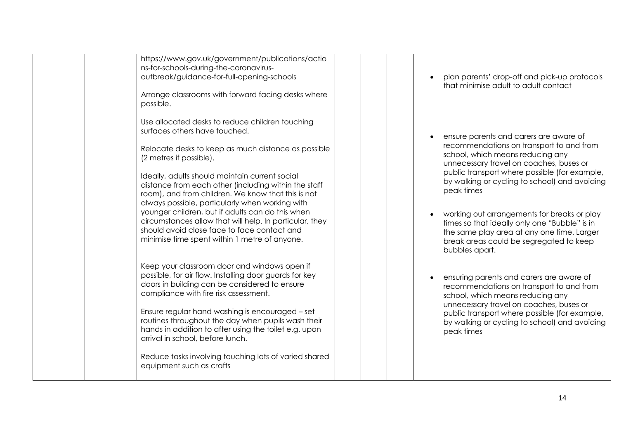| https://www.gov.uk/government/publications/actio<br>ns-for-schools-during-the-coronavirus- |  |                                               |
|--------------------------------------------------------------------------------------------|--|-----------------------------------------------|
| outbreak/guidance-for-full-opening-schools                                                 |  | plan parents' drop-off and pick-up protocols  |
|                                                                                            |  | that minimise adult to adult contact          |
| Arrange classrooms with forward facing desks where                                         |  |                                               |
| possible.                                                                                  |  |                                               |
|                                                                                            |  |                                               |
| Use allocated desks to reduce children touching                                            |  |                                               |
| surfaces others have touched.                                                              |  |                                               |
|                                                                                            |  | ensure parents and carers are aware of        |
| Relocate desks to keep as much distance as possible                                        |  | recommendations on transport to and from      |
| (2 metres if possible).                                                                    |  | school, which means reducing any              |
|                                                                                            |  | unnecessary travel on coaches, buses or       |
| Ideally, adults should maintain current social                                             |  | public transport where possible (for example, |
| distance from each other (including within the staff                                       |  | by walking or cycling to school) and avoiding |
| room), and from children. We know that this is not                                         |  | peak times                                    |
| always possible, particularly when working with                                            |  |                                               |
| younger children, but if adults can do this when                                           |  | working out arrangements for breaks or play   |
| circumstances allow that will help. In particular, they                                    |  | times so that ideally only one "Bubble" is in |
| should avoid close face to face contact and                                                |  | the same play area at any one time. Larger    |
| minimise time spent within 1 metre of anyone.                                              |  | break areas could be segregated to keep       |
|                                                                                            |  | bubbles apart.                                |
|                                                                                            |  |                                               |
| Keep your classroom door and windows open if                                               |  |                                               |
| possible, for air flow. Installing door guards for key                                     |  | ensuring parents and carers are aware of      |
| doors in building can be considered to ensure                                              |  | recommendations on transport to and from      |
| compliance with fire risk assessment.                                                      |  | school, which means reducing any              |
|                                                                                            |  | unnecessary travel on coaches, buses or       |
| Ensure regular hand washing is encouraged - set                                            |  | public transport where possible (for example, |
| routines throughout the day when pupils wash their                                         |  | by walking or cycling to school) and avoiding |
| hands in addition to after using the toilet e.g. upon                                      |  | peak times                                    |
| arrival in school, before lunch.                                                           |  |                                               |
|                                                                                            |  |                                               |
| Reduce tasks involving touching lots of varied shared                                      |  |                                               |
| equipment such as crafts                                                                   |  |                                               |
|                                                                                            |  |                                               |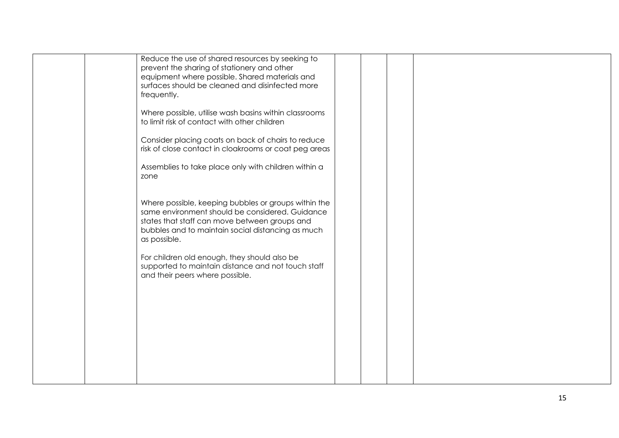| Reduce the use of shared resources by seeking to<br>prevent the sharing of stationery and other<br>equipment where possible. Shared materials and<br>surfaces should be cleaned and disinfected more<br>frequently.<br>Where possible, utilise wash basins within classrooms<br>to limit risk of contact with other children<br>Consider placing coats on back of chairs to reduce<br>risk of close contact in cloakrooms or coat peg areas |  |  |  |
|---------------------------------------------------------------------------------------------------------------------------------------------------------------------------------------------------------------------------------------------------------------------------------------------------------------------------------------------------------------------------------------------------------------------------------------------|--|--|--|
| Assemblies to take place only with children within a<br>zone                                                                                                                                                                                                                                                                                                                                                                                |  |  |  |
| Where possible, keeping bubbles or groups within the<br>same environment should be considered. Guidance<br>states that staff can move between groups and<br>bubbles and to maintain social distancing as much<br>as possible.<br>For children old enough, they should also be<br>supported to maintain distance and not touch staff<br>and their peers where possible.                                                                      |  |  |  |
|                                                                                                                                                                                                                                                                                                                                                                                                                                             |  |  |  |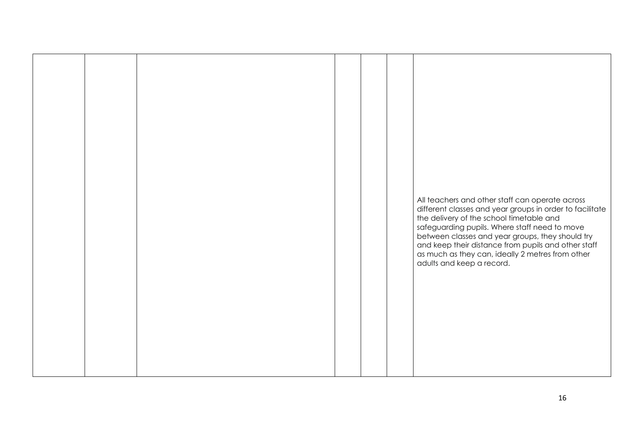|  |  |  | All teachers and other staff can operate across<br>different classes and year groups in order to facilitate<br>the delivery of the school timetable and<br>safeguarding pupils. Where staff need to move<br>between classes and year groups, they should try<br>and keep their distance from pupils and other staff<br>as much as they can, ideally 2 metres from other<br>adults and keep a record. |
|--|--|--|------------------------------------------------------------------------------------------------------------------------------------------------------------------------------------------------------------------------------------------------------------------------------------------------------------------------------------------------------------------------------------------------------|
|  |  |  |                                                                                                                                                                                                                                                                                                                                                                                                      |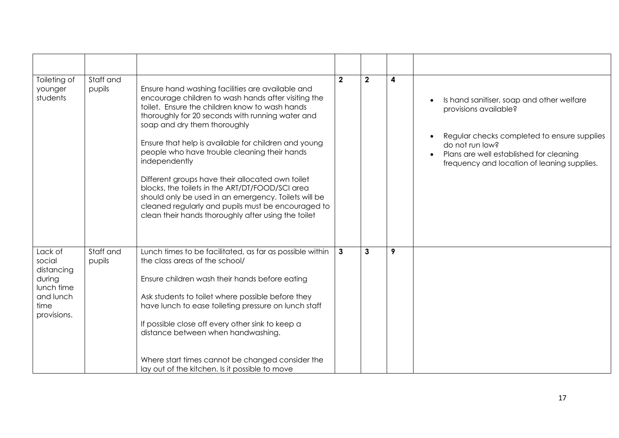| Toileting of<br>younger<br>students                                                         | Staff and<br>pupils | Ensure hand washing facilities are available and<br>encourage children to wash hands after visiting the<br>toilet. Ensure the children know to wash hands<br>thoroughly for 20 seconds with running water and<br>soap and dry them thoroughly<br>Ensure that help is available for children and young<br>people who have trouble cleaning their hands<br>independently<br>Different groups have their allocated own toilet<br>blocks, the toilets in the ART/DT/FOOD/SCI area<br>should only be used in an emergency. Toilets will be<br>cleaned regularly and pupils must be encouraged to<br>clean their hands thoroughly after using the toilet | $\overline{2}$ | $\overline{2}$ | $\boldsymbol{4}$ | Is hand sanitiser, soap and other welfare<br>provisions available?<br>Regular checks completed to ensure supplies<br>do not run low?<br>Plans are well established for cleaning<br>frequency and location of leaning supplies. |
|---------------------------------------------------------------------------------------------|---------------------|----------------------------------------------------------------------------------------------------------------------------------------------------------------------------------------------------------------------------------------------------------------------------------------------------------------------------------------------------------------------------------------------------------------------------------------------------------------------------------------------------------------------------------------------------------------------------------------------------------------------------------------------------|----------------|----------------|------------------|--------------------------------------------------------------------------------------------------------------------------------------------------------------------------------------------------------------------------------|
| Lack of<br>social<br>distancing<br>during<br>lunch time<br>and lunch<br>time<br>provisions. | Staff and<br>pupils | Lunch times to be facilitated, as far as possible within<br>the class areas of the school/<br>Ensure children wash their hands before eating<br>Ask students to toilet where possible before they<br>have lunch to ease toileting pressure on lunch staff<br>If possible close off every other sink to keep a<br>distance between when handwashing.<br>Where start times cannot be changed consider the<br>lay out of the kitchen. Is it possible to move                                                                                                                                                                                          | $\mathbf{3}$   | $\mathbf{3}$   | 9                |                                                                                                                                                                                                                                |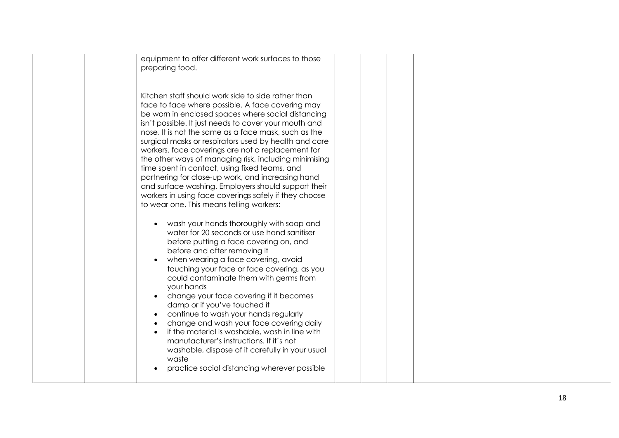| equipment to offer different work surfaces to those<br>preparing food.                                                                                                                                                                                                                                                                                                                                                                                                                                                                                                                                                                                                                                                 |  |  |
|------------------------------------------------------------------------------------------------------------------------------------------------------------------------------------------------------------------------------------------------------------------------------------------------------------------------------------------------------------------------------------------------------------------------------------------------------------------------------------------------------------------------------------------------------------------------------------------------------------------------------------------------------------------------------------------------------------------------|--|--|
| Kitchen staff should work side to side rather than<br>face to face where possible. A face covering may<br>be worn in enclosed spaces where social distancing<br>isn't possible. It just needs to cover your mouth and<br>nose. It is not the same as a face mask, such as the<br>surgical masks or respirators used by health and care<br>workers. face coverings are not a replacement for<br>the other ways of managing risk, including minimising<br>time spent in contact, using fixed teams, and<br>partnering for close-up work, and increasing hand<br>and surface washing. Employers should support their<br>workers in using face coverings safely if they choose<br>to wear one. This means telling workers: |  |  |
| wash your hands thoroughly with soap and<br>water for 20 seconds or use hand sanitiser<br>before putting a face covering on, and<br>before and after removing it<br>when wearing a face covering, avoid<br>touching your face or face covering, as you<br>could contaminate them with germs from<br>your hands<br>change your face covering if it becomes<br>damp or if you've touched it<br>continue to wash your hands regularly<br>change and wash your face covering daily<br>if the material is washable, wash in line with<br>manufacturer's instructions. If it's not<br>washable, dispose of it carefully in your usual<br>waste<br>practice social distancing wherever possible                               |  |  |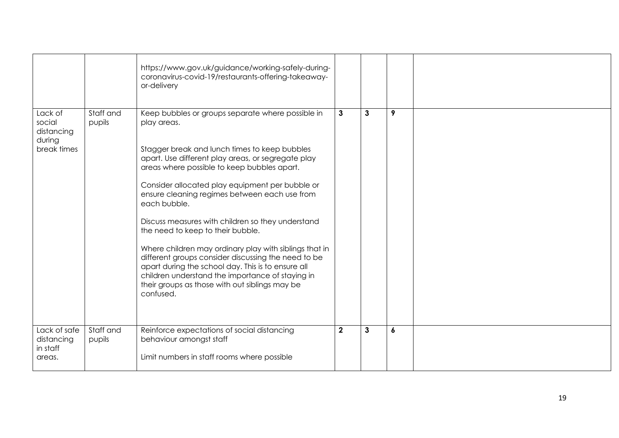|                                                          |                     | https://www.gov.uk/guidance/working-safely-during-<br>coronavirus-covid-19/restaurants-offering-takeaway-<br>or-delivery                                                                                                                                                                                                                                                                                                                                                                                                                                                                                                                                                                                                       |              |              |   |  |
|----------------------------------------------------------|---------------------|--------------------------------------------------------------------------------------------------------------------------------------------------------------------------------------------------------------------------------------------------------------------------------------------------------------------------------------------------------------------------------------------------------------------------------------------------------------------------------------------------------------------------------------------------------------------------------------------------------------------------------------------------------------------------------------------------------------------------------|--------------|--------------|---|--|
| Lack of<br>social<br>distancing<br>during<br>break times | Staff and<br>pupils | Keep bubbles or groups separate where possible in<br>play areas.<br>Stagger break and lunch times to keep bubbles<br>apart. Use different play areas, or segregate play<br>areas where possible to keep bubbles apart.<br>Consider allocated play equipment per bubble or<br>ensure cleaning regimes between each use from<br>each bubble.<br>Discuss measures with children so they understand<br>the need to keep to their bubble.<br>Where children may ordinary play with siblings that in<br>different groups consider discussing the need to be<br>apart during the school day. This is to ensure all<br>children understand the importance of staying in<br>their groups as those with out siblings may be<br>confused. | $\mathbf{3}$ | $\mathbf{3}$ | 9 |  |
| Lack of safe<br>distancing<br>in staff<br>areas.         | Staff and<br>pupils | Reinforce expectations of social distancing<br>behaviour amongst staff<br>Limit numbers in staff rooms where possible                                                                                                                                                                                                                                                                                                                                                                                                                                                                                                                                                                                                          | $\mathbf{2}$ | $\mathbf{3}$ | 6 |  |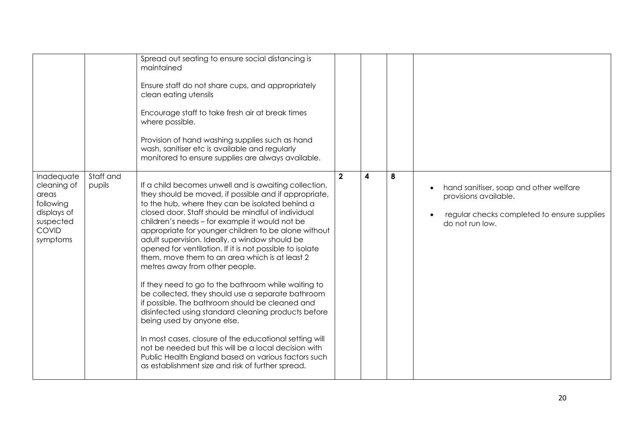|                                                                                                  |                     | Spread out seating to ensure social distancing is<br>maintained<br>Ensure staff do not share cups, and appropriately<br>clean eating utensils<br>Encourage staff to take fresh air at break times<br>where possible.<br>Provision of hand washing supplies such as hand<br>wash, sanitiser etc is available and regularly<br>monitored to ensure supplies are always available.                                                                                                                                                                                                                                                                                                                                                                                                                                                                                                                                                                                                                                       |                |   |   |                                                                                                                                                |
|--------------------------------------------------------------------------------------------------|---------------------|-----------------------------------------------------------------------------------------------------------------------------------------------------------------------------------------------------------------------------------------------------------------------------------------------------------------------------------------------------------------------------------------------------------------------------------------------------------------------------------------------------------------------------------------------------------------------------------------------------------------------------------------------------------------------------------------------------------------------------------------------------------------------------------------------------------------------------------------------------------------------------------------------------------------------------------------------------------------------------------------------------------------------|----------------|---|---|------------------------------------------------------------------------------------------------------------------------------------------------|
| Inadequate<br>cleaning of<br>areas<br>following<br>displays of<br>suspected<br>COVID<br>symptoms | Staff and<br>pupils | If a child becomes unwell and is awaiting collection,<br>they should be moved, if possible and if appropriate,<br>to the hub, where they can be isolated behind a<br>closed door. Staff should be mindful of individual<br>children's needs - for example it would not be<br>appropriate for younger children to be alone without<br>adult supervision. Ideally, a window should be<br>opened for ventilation. If it is not possible to isolate<br>them, move them to an area which is at least 2<br>metres away from other people.<br>If they need to go to the bathroom while waiting to<br>be collected, they should use a separate bathroom<br>if possible. The bathroom should be cleaned and<br>disinfected using standard cleaning products before<br>being used by anyone else.<br>In most cases, closure of the educational setting will<br>not be needed but this will be a local decision with<br>Public Health England based on various factors such<br>as establishment size and risk of further spread. | $\overline{2}$ | 4 | 8 | hand sanitiser, soap and other welfare<br>$\bullet$<br>provisions available.<br>regular checks completed to ensure supplies<br>do not run low. |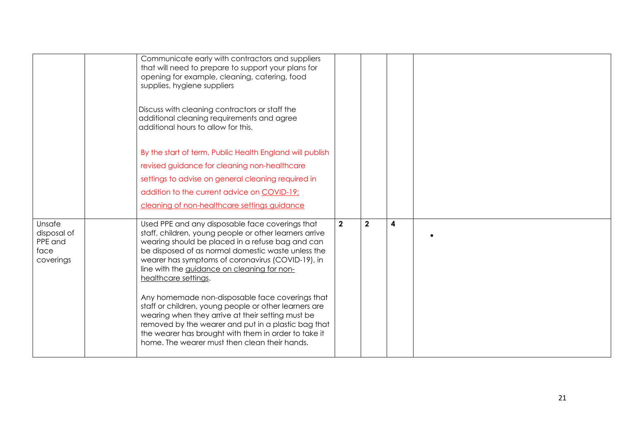|                                                       | Communicate early with contractors and suppliers<br>that will need to prepare to support your plans for<br>opening for example, cleaning, catering, food<br>supplies, hygiene suppliers<br>Discuss with cleaning contractors or staff the<br>additional cleaning requirements and agree<br>additional hours to allow for this.<br>By the start of term, Public Health England will publish<br>revised guidance for cleaning non-healthcare<br>settings to advise on general cleaning required in<br>addition to the current advice on COVID-19:<br>cleaning of non-healthcare settings guidance                                                                                  |                |              |   |  |
|-------------------------------------------------------|----------------------------------------------------------------------------------------------------------------------------------------------------------------------------------------------------------------------------------------------------------------------------------------------------------------------------------------------------------------------------------------------------------------------------------------------------------------------------------------------------------------------------------------------------------------------------------------------------------------------------------------------------------------------------------|----------------|--------------|---|--|
| Unsafe<br>disposal of<br>PPE and<br>face<br>coverings | Used PPE and any disposable face coverings that<br>staff, children, young people or other learners arrive<br>wearing should be placed in a refuse bag and can<br>be disposed of as normal domestic waste unless the<br>wearer has symptoms of coronavirus (COVID-19), in<br>line with the guidance on cleaning for non-<br>healthcare settings.<br>Any homemade non-disposable face coverings that<br>staff or children, young people or other learners are<br>wearing when they arrive at their setting must be<br>removed by the wearer and put in a plastic bag that<br>the wearer has brought with them in order to take it<br>home. The wearer must then clean their hands. | $\overline{2}$ | $\mathbf{2}$ | 4 |  |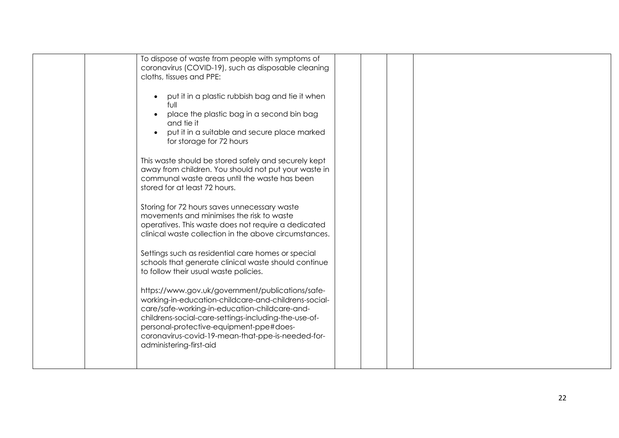| To dispose of waste from people with symptoms of<br>coronavirus (COVID-19), such as disposable cleaning<br>cloths, tissues and PPE:                                                                                                                                                                                                          |  |  |  |  |
|----------------------------------------------------------------------------------------------------------------------------------------------------------------------------------------------------------------------------------------------------------------------------------------------------------------------------------------------|--|--|--|--|
| put it in a plastic rubbish bag and tie it when<br>full<br>place the plastic bag in a second bin bag<br>and tie it<br>put it in a suitable and secure place marked<br>for storage for 72 hours                                                                                                                                               |  |  |  |  |
| This waste should be stored safely and securely kept<br>away from children. You should not put your waste in<br>communal waste areas until the waste has been<br>stored for at least 72 hours.                                                                                                                                               |  |  |  |  |
| Storing for 72 hours saves unnecessary waste<br>movements and minimises the risk to waste<br>operatives. This waste does not require a dedicated<br>clinical waste collection in the above circumstances.                                                                                                                                    |  |  |  |  |
| Settings such as residential care homes or special<br>schools that generate clinical waste should continue<br>to follow their usual waste policies.                                                                                                                                                                                          |  |  |  |  |
| https://www.gov.uk/government/publications/safe-<br>working-in-education-childcare-and-childrens-social-<br>care/safe-working-in-education-childcare-and-<br>childrens-social-care-settings-including-the-use-of-<br>personal-protective-equipment-ppe#does-<br>coronavirus-covid-19-mean-that-ppe-is-needed-for-<br>administering-first-aid |  |  |  |  |
|                                                                                                                                                                                                                                                                                                                                              |  |  |  |  |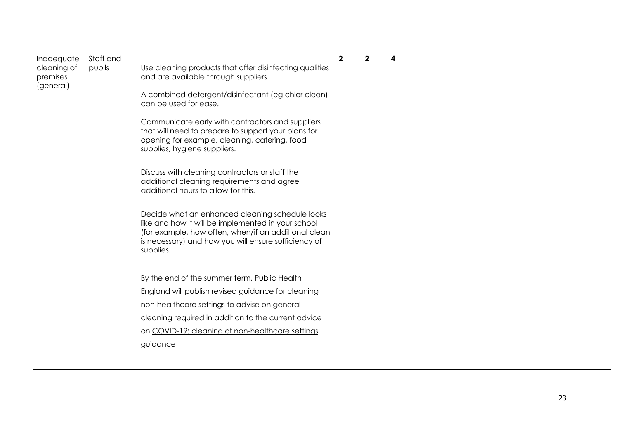| Inadequate                           | Staff and |                                                                                                                                                                                                                                    | $\mathbf{2}$ | 2 | 4 |  |
|--------------------------------------|-----------|------------------------------------------------------------------------------------------------------------------------------------------------------------------------------------------------------------------------------------|--------------|---|---|--|
| cleaning of<br>premises<br>(general) | pupils    | Use cleaning products that offer disinfecting qualities<br>and are available through suppliers.                                                                                                                                    |              |   |   |  |
|                                      |           | A combined detergent/disinfectant (eg chlor clean)<br>can be used for ease.                                                                                                                                                        |              |   |   |  |
|                                      |           | Communicate early with contractors and suppliers<br>that will need to prepare to support your plans for<br>opening for example, cleaning, catering, food<br>supplies, hygiene suppliers.                                           |              |   |   |  |
|                                      |           | Discuss with cleaning contractors or staff the<br>additional cleaning requirements and agree<br>additional hours to allow for this.                                                                                                |              |   |   |  |
|                                      |           | Decide what an enhanced cleaning schedule looks<br>like and how it will be implemented in your school<br>(for example, how often, when/if an additional clean<br>is necessary) and how you will ensure sufficiency of<br>supplies. |              |   |   |  |
|                                      |           | By the end of the summer term, Public Health                                                                                                                                                                                       |              |   |   |  |
|                                      |           | England will publish revised guidance for cleaning                                                                                                                                                                                 |              |   |   |  |
|                                      |           | non-healthcare settings to advise on general                                                                                                                                                                                       |              |   |   |  |
|                                      |           | cleaning required in addition to the current advice                                                                                                                                                                                |              |   |   |  |
|                                      |           | on COVID-19: cleaning of non-healthcare settings                                                                                                                                                                                   |              |   |   |  |
|                                      |           | guidance                                                                                                                                                                                                                           |              |   |   |  |
|                                      |           |                                                                                                                                                                                                                                    |              |   |   |  |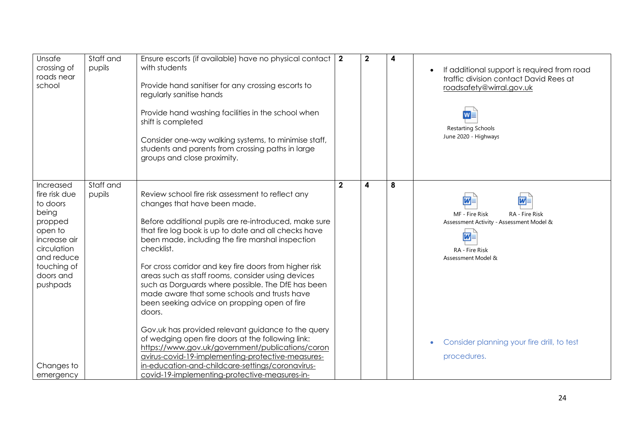| Unsafe<br>crossing of<br>roads near<br>school                                                                                                              | Staff and<br>pupils | Ensure escorts (if available) have no physical contact   2<br>with students<br>Provide hand sanitiser for any crossing escorts to<br>regularly sanitise hands<br>Provide hand washing facilities in the school when<br>shift is completed<br>Consider one-way walking systems, to minimise staff,<br>students and parents from crossing paths in large<br>groups and close proximity.                                                                                                                                                               |              | $\mathbf{2}$            | 4 | If additional support is required from road<br>traffic division contact David Rees at<br>roadsafety@wirral.gov.uk<br>$W_{\Box}$<br><b>Restarting Schools</b><br>June 2020 - Highways |
|------------------------------------------------------------------------------------------------------------------------------------------------------------|---------------------|-----------------------------------------------------------------------------------------------------------------------------------------------------------------------------------------------------------------------------------------------------------------------------------------------------------------------------------------------------------------------------------------------------------------------------------------------------------------------------------------------------------------------------------------------------|--------------|-------------------------|---|--------------------------------------------------------------------------------------------------------------------------------------------------------------------------------------|
| Increased<br>fire risk due<br>to doors<br>being<br>propped<br>open to<br>increase air<br>circulation<br>and reduce<br>touching of<br>doors and<br>pushpads | Staff and<br>pupils | Review school fire risk assessment to reflect any<br>changes that have been made.<br>Before additional pupils are re-introduced, make sure<br>that fire log book is up to date and all checks have<br>been made, including the fire marshal inspection<br>checklist.<br>For cross corridor and key fire doors from higher risk<br>areas such as staff rooms, consider using devices<br>such as Dorguards where possible. The DfE has been<br>made aware that some schools and trusts have<br>been seeking advice on propping open of fire<br>doors. | $\mathbf{2}$ | $\overline{\mathbf{4}}$ | 8 | $\overline{w}$<br><b>M</b><br>MF - Fire Risk<br>RA - Fire Risk<br>Assessment Activity - Assessment Model &<br>$\overline{w}$<br>RA - Fire Risk<br>Assessment Model &                 |
| Changes to<br>emergency                                                                                                                                    |                     | Gov.uk has provided relevant guidance to the query<br>of wedging open fire doors at the following link:<br>https://www.gov.uk/government/publications/coron<br>avirus-covid-19-implementing-protective-measures-<br>in-education-and-childcare-settings/coronavirus-<br>covid-19-implementing-protective-measures-in-                                                                                                                                                                                                                               |              |                         |   | Consider planning your fire drill, to test<br>procedures.                                                                                                                            |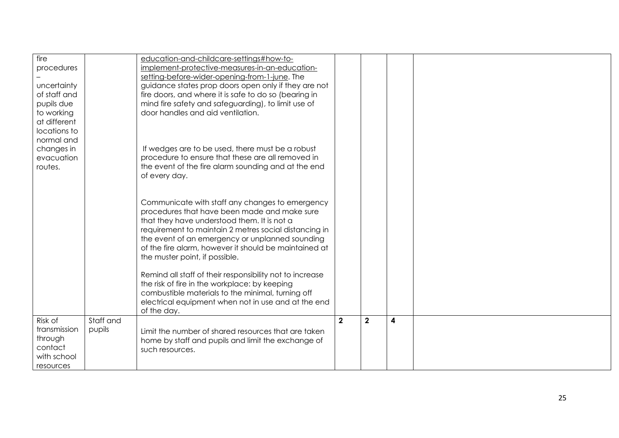| fire         |           | education-and-childcare-settings#how-to-                                                |                |              |   |  |
|--------------|-----------|-----------------------------------------------------------------------------------------|----------------|--------------|---|--|
| procedures   |           | implement-protective-measures-in-an-education-                                          |                |              |   |  |
|              |           | setting-before-wider-opening-from-1-june. The                                           |                |              |   |  |
| uncertainty  |           | guidance states prop doors open only if they are not                                    |                |              |   |  |
| of staff and |           | fire doors, and where it is safe to do so (bearing in                                   |                |              |   |  |
| pupils due   |           | mind fire safety and safeguarding), to limit use of                                     |                |              |   |  |
| to working   |           | door handles and aid ventilation.                                                       |                |              |   |  |
| at different |           |                                                                                         |                |              |   |  |
| locations to |           |                                                                                         |                |              |   |  |
| normal and   |           |                                                                                         |                |              |   |  |
| changes in   |           | If wedges are to be used, there must be a robust                                        |                |              |   |  |
| evacuation   |           | procedure to ensure that these are all removed in                                       |                |              |   |  |
| routes.      |           | the event of the fire alarm sounding and at the end                                     |                |              |   |  |
|              |           | of every day.                                                                           |                |              |   |  |
|              |           |                                                                                         |                |              |   |  |
|              |           |                                                                                         |                |              |   |  |
|              |           | Communicate with staff any changes to emergency                                         |                |              |   |  |
|              |           | procedures that have been made and make sure                                            |                |              |   |  |
|              |           | that they have understood them. It is not a                                             |                |              |   |  |
|              |           | requirement to maintain 2 metres social distancing in                                   |                |              |   |  |
|              |           | the event of an emergency or unplanned sounding                                         |                |              |   |  |
|              |           | of the fire alarm, however it should be maintained at<br>the muster point, if possible. |                |              |   |  |
|              |           |                                                                                         |                |              |   |  |
|              |           | Remind all staff of their responsibility not to increase                                |                |              |   |  |
|              |           | the risk of fire in the workplace: by keeping                                           |                |              |   |  |
|              |           | combustible materials to the minimal, turning off                                       |                |              |   |  |
|              |           | electrical equipment when not in use and at the end                                     |                |              |   |  |
|              |           | of the day.                                                                             |                |              |   |  |
| Risk of      | Staff and |                                                                                         | $\overline{2}$ | $\mathbf{2}$ | 4 |  |
| transmission | pupils    | Limit the number of shared resources that are taken                                     |                |              |   |  |
| through      |           | home by staff and pupils and limit the exchange of                                      |                |              |   |  |
| contact      |           | such resources.                                                                         |                |              |   |  |
| with school  |           |                                                                                         |                |              |   |  |
| resources    |           |                                                                                         |                |              |   |  |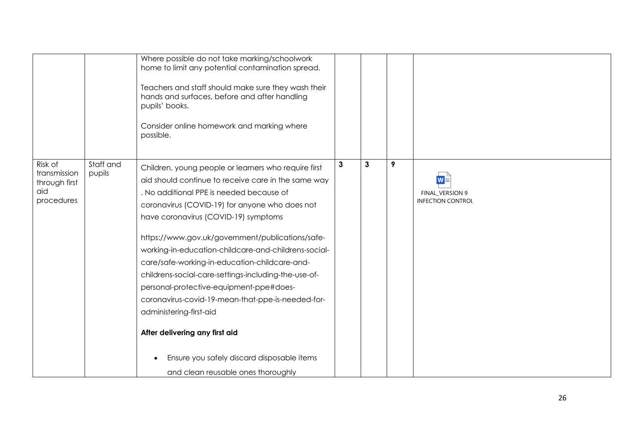| Where possible do not take marking/schoolwork<br>home to limit any potential contamination spread.<br>Teachers and staff should make sure they wash their<br>hands and surfaces, before and after handling<br>pupils' books.<br>Consider online homework and marking where<br>possible.<br>Risk of<br>Staff and<br>$\mathbf{3}$<br>$\mathbf{3}$<br>9<br>Children, young people or learners who require first<br>transmission<br>pupils<br>WE<br>aid should continue to receive care in the same way<br>through first<br>aid<br>. No additional PPE is needed because of<br>FINAL_VERSION 9<br>procedures<br><b>INFECTION CONTROL</b><br>coronavirus (COVID-19) for anyone who does not<br>have coronavirus (COVID-19) symptoms<br>https://www.gov.uk/government/publications/safe-<br>working-in-education-childcare-and-childrens-social-<br>care/safe-working-in-education-childcare-and-<br>childrens-social-care-settings-including-the-use-of-<br>personal-protective-equipment-ppe#does-<br>coronavirus-covid-19-mean-that-ppe-is-needed-for-<br>administering-first-aid<br>After delivering any first aid<br>Ensure you safely discard disposable items |  |  |  |  |
|----------------------------------------------------------------------------------------------------------------------------------------------------------------------------------------------------------------------------------------------------------------------------------------------------------------------------------------------------------------------------------------------------------------------------------------------------------------------------------------------------------------------------------------------------------------------------------------------------------------------------------------------------------------------------------------------------------------------------------------------------------------------------------------------------------------------------------------------------------------------------------------------------------------------------------------------------------------------------------------------------------------------------------------------------------------------------------------------------------------------------------------------------------------|--|--|--|--|
|                                                                                                                                                                                                                                                                                                                                                                                                                                                                                                                                                                                                                                                                                                                                                                                                                                                                                                                                                                                                                                                                                                                                                                |  |  |  |  |
| and clean reusable ones thoroughly                                                                                                                                                                                                                                                                                                                                                                                                                                                                                                                                                                                                                                                                                                                                                                                                                                                                                                                                                                                                                                                                                                                             |  |  |  |  |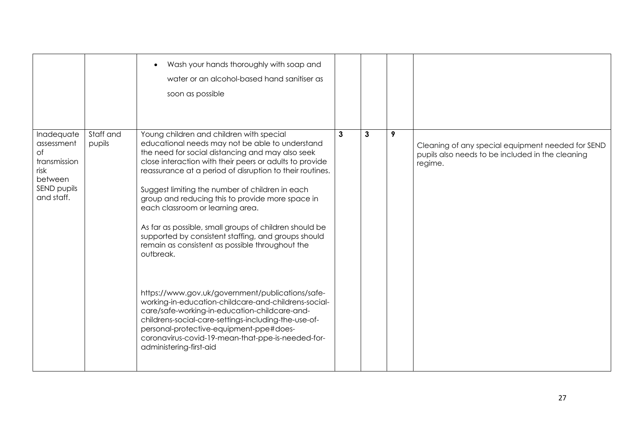|                                                                                                       |                     | Wash your hands thoroughly with soap and<br>water or an alcohol-based hand sanitiser as<br>soon as possible                                                                                                                                                                                                                                                                                                                                                                                                                                                                                                                                                                                                                                                                                                                                                                                                                                        |              |   |   |                                                                                                                  |
|-------------------------------------------------------------------------------------------------------|---------------------|----------------------------------------------------------------------------------------------------------------------------------------------------------------------------------------------------------------------------------------------------------------------------------------------------------------------------------------------------------------------------------------------------------------------------------------------------------------------------------------------------------------------------------------------------------------------------------------------------------------------------------------------------------------------------------------------------------------------------------------------------------------------------------------------------------------------------------------------------------------------------------------------------------------------------------------------------|--------------|---|---|------------------------------------------------------------------------------------------------------------------|
| Inadequate<br>assessment<br>$\circ$ f<br>transmission<br>risk<br>between<br>SEND pupils<br>and staff. | Staff and<br>pupils | Young children and children with special<br>educational needs may not be able to understand<br>the need for social distancing and may also seek<br>close interaction with their peers or adults to provide<br>reassurance at a period of disruption to their routines.<br>Suggest limiting the number of children in each<br>group and reducing this to provide more space in<br>each classroom or learning area.<br>As far as possible, small groups of children should be<br>supported by consistent staffing, and groups should<br>remain as consistent as possible throughout the<br>outbreak.<br>https://www.gov.uk/government/publications/safe-<br>working-in-education-childcare-and-childrens-social-<br>care/safe-working-in-education-childcare-and-<br>childrens-social-care-settings-including-the-use-of-<br>personal-protective-equipment-ppe#does-<br>coronavirus-covid-19-mean-that-ppe-is-needed-for-<br>administering-first-aid | $\mathbf{3}$ | 3 | 9 | Cleaning of any special equipment needed for SEND<br>pupils also needs to be included in the cleaning<br>regime. |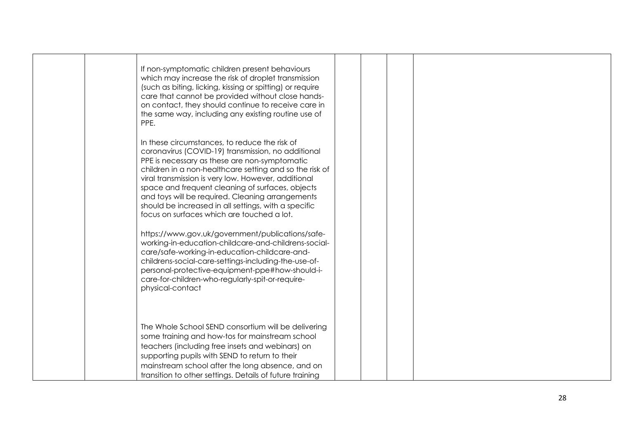|  | If non-symptomatic children present behaviours<br>which may increase the risk of droplet transmission<br>(such as biting, licking, kissing or spitting) or require<br>care that cannot be provided without close hands-<br>on contact, they should continue to receive care in<br>the same way, including any existing routine use of<br>PPE.                                                                                                                                        |  |  |  |  |
|--|--------------------------------------------------------------------------------------------------------------------------------------------------------------------------------------------------------------------------------------------------------------------------------------------------------------------------------------------------------------------------------------------------------------------------------------------------------------------------------------|--|--|--|--|
|  | In these circumstances, to reduce the risk of<br>coronavirus (COVID-19) transmission, no additional<br>PPE is necessary as these are non-symptomatic<br>children in a non-healthcare setting and so the risk of<br>viral transmission is very low. However, additional<br>space and frequent cleaning of surfaces, objects<br>and toys will be required. Cleaning arrangements<br>should be increased in all settings, with a specific<br>focus on surfaces which are touched a lot. |  |  |  |  |
|  | https://www.gov.uk/government/publications/safe-<br>working-in-education-childcare-and-childrens-social-<br>care/safe-working-in-education-childcare-and-<br>childrens-social-care-settings-including-the-use-of-<br>personal-protective-equipment-ppe#how-should-i-<br>care-for-children-who-regularly-spit-or-require-<br>physical-contact                                                                                                                                         |  |  |  |  |
|  | The Whole School SEND consortium will be delivering<br>some training and how-tos for mainstream school<br>teachers (including free insets and webinars) on<br>supporting pupils with SEND to return to their<br>mainstream school after the long absence, and on<br>transition to other settings. Details of future training                                                                                                                                                         |  |  |  |  |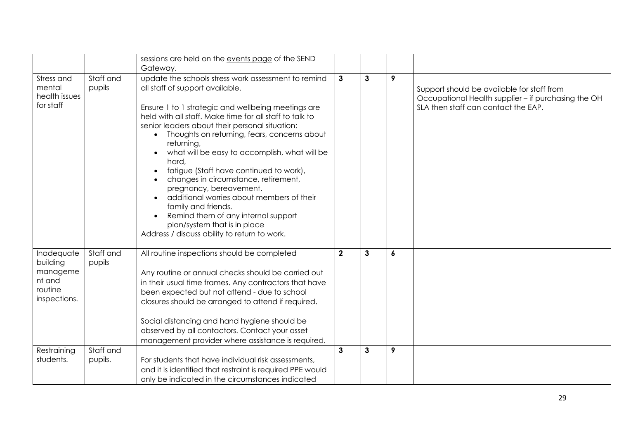|                                                                         |                      | sessions are held on the events page of the SEND                                                                                                                                                                                                                                                                                                                                                                                                                                                                                                                                                                                                                                           |              |              |                  |                                                                                                                                          |
|-------------------------------------------------------------------------|----------------------|--------------------------------------------------------------------------------------------------------------------------------------------------------------------------------------------------------------------------------------------------------------------------------------------------------------------------------------------------------------------------------------------------------------------------------------------------------------------------------------------------------------------------------------------------------------------------------------------------------------------------------------------------------------------------------------------|--------------|--------------|------------------|------------------------------------------------------------------------------------------------------------------------------------------|
|                                                                         |                      | Gateway.                                                                                                                                                                                                                                                                                                                                                                                                                                                                                                                                                                                                                                                                                   |              |              |                  |                                                                                                                                          |
| Stress and<br>mental<br>health issues<br>for staff                      | Staff and<br>pupils  | update the schools stress work assessment to remind<br>all staff of support available.<br>Ensure 1 to 1 strategic and wellbeing meetings are<br>held with all staff. Make time for all staff to talk to<br>senior leaders about their personal situation:<br>Thoughts on returning, fears, concerns about<br>returning,<br>what will be easy to accomplish, what will be<br>hard,<br>fatigue (Staff have continued to work),<br>changes in circumstance, retirement,<br>pregnancy, bereavement.<br>additional worries about members of their<br>family and friends.<br>Remind them of any internal support<br>plan/system that is in place<br>Address / discuss ability to return to work. | $\mathbf{3}$ | $\mathbf{3}$ | 9                | Support should be available for staff from<br>Occupational Health supplier - if purchasing the OH<br>SLA then staff can contact the EAP. |
| Inadequate<br>building<br>manageme<br>nt and<br>routine<br>inspections. | Staff and<br>pupils  | All routine inspections should be completed<br>Any routine or annual checks should be carried out<br>in their usual time frames. Any contractors that have<br>been expected but not attend - due to school<br>closures should be arranged to attend if required.<br>Social distancing and hand hygiene should be<br>observed by all contactors. Contact your asset<br>management provider where assistance is required.                                                                                                                                                                                                                                                                    | $\mathbf{2}$ | $\mathbf{3}$ | $\boldsymbol{6}$ |                                                                                                                                          |
| Restraining<br>students.                                                | Staff and<br>pupils. | For students that have individual risk assessments,<br>and it is identified that restraint is required PPE would<br>only be indicated in the circumstances indicated                                                                                                                                                                                                                                                                                                                                                                                                                                                                                                                       | 3            | 3            | 9                |                                                                                                                                          |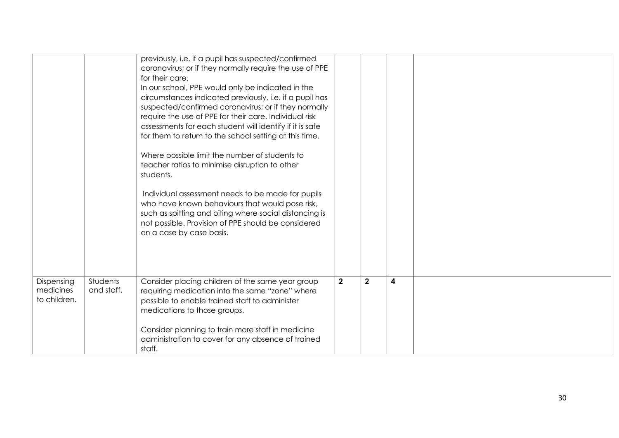|                                         |                        | previously, i.e. if a pupil has suspected/confirmed<br>coronavirus; or if they normally require the use of PPE<br>for their care.<br>In our school, PPE would only be indicated in the<br>circumstances indicated previously, i.e. if a pupil has<br>suspected/confirmed coronavirus; or if they normally<br>require the use of PPE for their care. Individual risk<br>assessments for each student will identify if it is safe<br>for them to return to the school setting at this time.<br>Where possible limit the number of students to<br>teacher ratios to minimise disruption to other<br>students.<br>Individual assessment needs to be made for pupils<br>who have known behaviours that would pose risk,<br>such as spitting and biting where social distancing is<br>not possible. Provision of PPE should be considered<br>on a case by case basis. |                |             |   |  |
|-----------------------------------------|------------------------|-----------------------------------------------------------------------------------------------------------------------------------------------------------------------------------------------------------------------------------------------------------------------------------------------------------------------------------------------------------------------------------------------------------------------------------------------------------------------------------------------------------------------------------------------------------------------------------------------------------------------------------------------------------------------------------------------------------------------------------------------------------------------------------------------------------------------------------------------------------------|----------------|-------------|---|--|
|                                         |                        |                                                                                                                                                                                                                                                                                                                                                                                                                                                                                                                                                                                                                                                                                                                                                                                                                                                                 |                |             |   |  |
| Dispensing<br>medicines<br>to children. | Students<br>and staff. | Consider placing children of the same year group<br>requiring medication into the same "zone" where<br>possible to enable trained staff to administer<br>medications to those groups.<br>Consider planning to train more staff in medicine<br>administration to cover for any absence of trained<br>staff.                                                                                                                                                                                                                                                                                                                                                                                                                                                                                                                                                      | $\overline{2}$ | $\mathbf 2$ | 4 |  |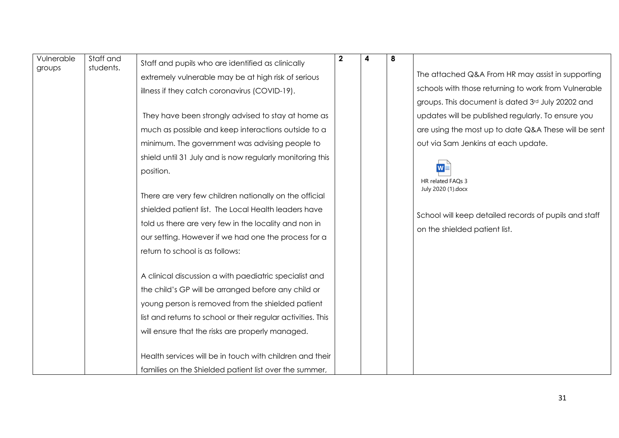| Vulnerable<br>groups | Staff and<br>students. | Staff and pupils who are identified as clinically            | $\boldsymbol{2}$ | 4 | 8 |                                                       |
|----------------------|------------------------|--------------------------------------------------------------|------------------|---|---|-------------------------------------------------------|
|                      |                        | extremely vulnerable may be at high risk of serious          |                  |   |   | The attached Q&A From HR may assist in supporting     |
|                      |                        | illness if they catch coronavirus (COVID-19).                |                  |   |   | schools with those returning to work from Vulnerable  |
|                      |                        |                                                              |                  |   |   | groups. This document is dated 3rd July 20202 and     |
|                      |                        | They have been strongly advised to stay at home as           |                  |   |   | updates will be published regularly. To ensure you    |
|                      |                        | much as possible and keep interactions outside to a          |                  |   |   | are using the most up to date Q&A These will be sent  |
|                      |                        | minimum. The government was advising people to               |                  |   |   | out via Sam Jenkins at each update.                   |
|                      |                        | shield until 31 July and is now regularly monitoring this    |                  |   |   |                                                       |
|                      |                        | position.                                                    |                  |   |   |                                                       |
|                      |                        |                                                              |                  |   |   | HR related FAOs 3<br>July 2020 (1).docx               |
|                      |                        | There are very few children nationally on the official       |                  |   |   |                                                       |
|                      |                        | shielded patient list. The Local Health leaders have         |                  |   |   | School will keep detailed records of pupils and staff |
|                      |                        | told us there are very few in the locality and non in        |                  |   |   | on the shielded patient list.                         |
|                      |                        | our setting. However if we had one the process for a         |                  |   |   |                                                       |
|                      |                        | return to school is as follows:                              |                  |   |   |                                                       |
|                      |                        |                                                              |                  |   |   |                                                       |
|                      |                        | A clinical discussion a with paediatric specialist and       |                  |   |   |                                                       |
|                      |                        | the child's GP will be arranged before any child or          |                  |   |   |                                                       |
|                      |                        | young person is removed from the shielded patient            |                  |   |   |                                                       |
|                      |                        | list and returns to school or their regular activities. This |                  |   |   |                                                       |
|                      |                        | will ensure that the risks are properly managed.             |                  |   |   |                                                       |
|                      |                        |                                                              |                  |   |   |                                                       |
|                      |                        | Health services will be in touch with children and their     |                  |   |   |                                                       |
|                      |                        | families on the Shielded patient list over the summer,       |                  |   |   |                                                       |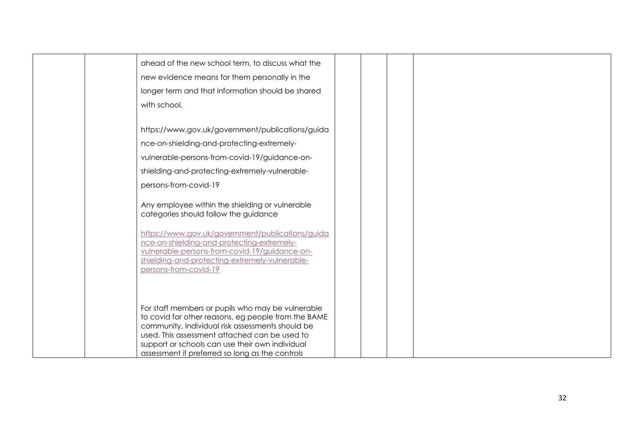|  | ahead of the new school term, to discuss what the                                                                                                                                                                          |  |  |  |  |
|--|----------------------------------------------------------------------------------------------------------------------------------------------------------------------------------------------------------------------------|--|--|--|--|
|  | new evidence means for them personally in the                                                                                                                                                                              |  |  |  |  |
|  | longer term and that information should be shared                                                                                                                                                                          |  |  |  |  |
|  | with school.                                                                                                                                                                                                               |  |  |  |  |
|  |                                                                                                                                                                                                                            |  |  |  |  |
|  | https://www.gov.uk/government/publications/guida                                                                                                                                                                           |  |  |  |  |
|  | nce-on-shielding-and-protecting-extremely-                                                                                                                                                                                 |  |  |  |  |
|  | vulnerable-persons-from-covid-19/guidance-on-                                                                                                                                                                              |  |  |  |  |
|  | shielding-and-protecting-extremely-vulnerable-                                                                                                                                                                             |  |  |  |  |
|  | persons-from-covid-19                                                                                                                                                                                                      |  |  |  |  |
|  | Any employee within the shielding or vulnerable<br>categories should follow the guidance                                                                                                                                   |  |  |  |  |
|  | https://www.gov.uk/government/publications/guida<br>nce-on-shielding-and-protecting-extremely-<br>vulnerable-persons-from-covid-19/guidance-on-<br>shielding-and-protecting-extremely-vulnerable-<br>persons-from-covid-19 |  |  |  |  |
|  |                                                                                                                                                                                                                            |  |  |  |  |
|  | For staff members or pupils who may be vulnerable<br>to covid for other reasons, eg people from the BAME                                                                                                                   |  |  |  |  |
|  | community, Individual risk assessments should be                                                                                                                                                                           |  |  |  |  |
|  | used. This assessment attached can be used to                                                                                                                                                                              |  |  |  |  |
|  | support or schools can use their own individual                                                                                                                                                                            |  |  |  |  |
|  | assessment if preferred so long as the controls                                                                                                                                                                            |  |  |  |  |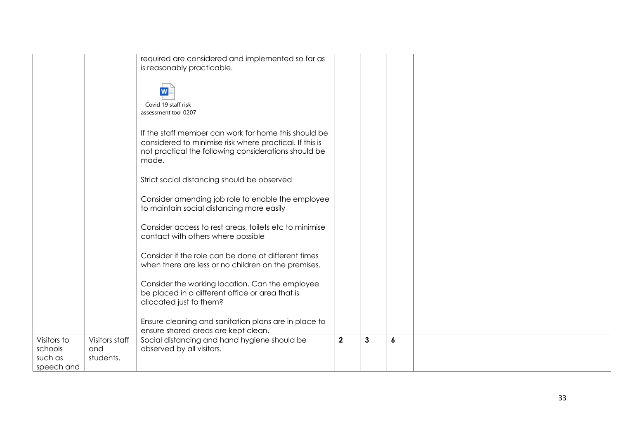|                                                 |                                    | required are considered and implemented so far as<br>is reasonably practicable.<br>Covid 19 staff risk                                                                                                   |                         |   |                  |  |
|-------------------------------------------------|------------------------------------|----------------------------------------------------------------------------------------------------------------------------------------------------------------------------------------------------------|-------------------------|---|------------------|--|
|                                                 |                                    | assessment tool 0207<br>If the staff member can work for home this should be<br>considered to minimise risk where practical. If this is<br>not practical the following considerations should be<br>made. |                         |   |                  |  |
|                                                 |                                    | Strict social distancing should be observed<br>Consider amending job role to enable the employee<br>to maintain social distancing more easily                                                            |                         |   |                  |  |
|                                                 |                                    | Consider access to rest areas, toilets etc to minimise<br>contact with others where possible                                                                                                             |                         |   |                  |  |
|                                                 |                                    | Consider if the role can be done at different times<br>when there are less or no children on the premises.                                                                                               |                         |   |                  |  |
|                                                 |                                    | Consider the working location. Can the employee<br>be placed in a different office or area that is<br>allocated just to them?                                                                            |                         |   |                  |  |
|                                                 |                                    | Ensure cleaning and sanitation plans are in place to<br>ensure shared areas are kept clean.                                                                                                              |                         |   |                  |  |
| Visitors to<br>schools<br>such as<br>speech and | Visitors staff<br>and<br>students. | Social distancing and hand hygiene should be<br>observed by all visitors.                                                                                                                                | $\overline{\mathbf{2}}$ | 3 | $\boldsymbol{6}$ |  |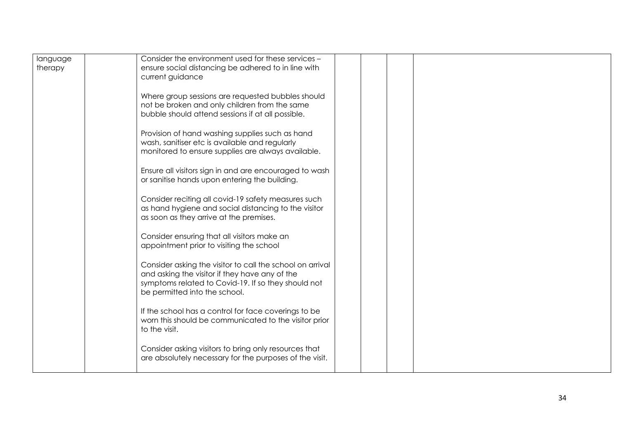| language<br>therapy | Consider the environment used for these services -<br>ensure social distancing be adhered to in line with<br>current guidance<br>Where group sessions are requested bubbles should<br>not be broken and only children from the same<br>bubble should attend sessions if at all possible.<br>Provision of hand washing supplies such as hand<br>wash, sanitiser etc is available and regularly<br>monitored to ensure supplies are always available.<br>Ensure all visitors sign in and are encouraged to wash<br>or sanitise hands upon entering the building.<br>Consider reciting all covid-19 safety measures such<br>as hand hygiene and social distancing to the visitor<br>as soon as they arrive at the premises.<br>Consider ensuring that all visitors make an<br>appointment prior to visiting the school<br>Consider asking the visitor to call the school on arrival<br>and asking the visitor if they have any of the<br>symptoms related to Covid-19. If so they should not<br>be permitted into the school.<br>If the school has a control for face coverings to be<br>worn this should be communicated to the visitor prior<br>to the visit. |  |  |  |  |
|---------------------|--------------------------------------------------------------------------------------------------------------------------------------------------------------------------------------------------------------------------------------------------------------------------------------------------------------------------------------------------------------------------------------------------------------------------------------------------------------------------------------------------------------------------------------------------------------------------------------------------------------------------------------------------------------------------------------------------------------------------------------------------------------------------------------------------------------------------------------------------------------------------------------------------------------------------------------------------------------------------------------------------------------------------------------------------------------------------------------------------------------------------------------------------------------|--|--|--|--|
|                     | Consider asking visitors to bring only resources that<br>are absolutely necessary for the purposes of the visit.                                                                                                                                                                                                                                                                                                                                                                                                                                                                                                                                                                                                                                                                                                                                                                                                                                                                                                                                                                                                                                             |  |  |  |  |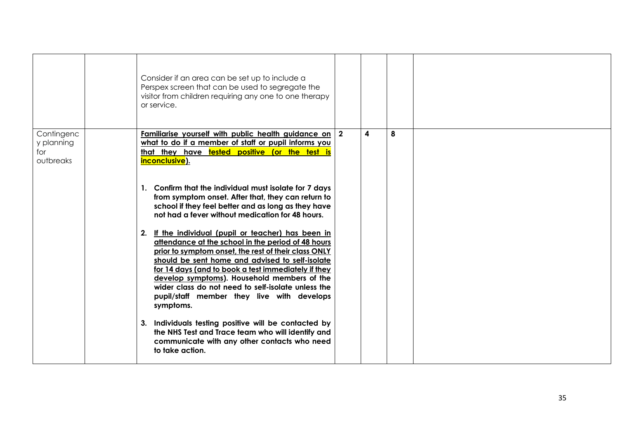|                                              | Consider if an area can be set up to include a<br>Perspex screen that can be used to segregate the<br>visitor from children requiring any one to one therapy<br>or service.                                                                                                                                                                                                                                                                                                                                                                                                                                                                                                                                                                                                                                                                                                                                                                                                                                                                        |   |   |  |
|----------------------------------------------|----------------------------------------------------------------------------------------------------------------------------------------------------------------------------------------------------------------------------------------------------------------------------------------------------------------------------------------------------------------------------------------------------------------------------------------------------------------------------------------------------------------------------------------------------------------------------------------------------------------------------------------------------------------------------------------------------------------------------------------------------------------------------------------------------------------------------------------------------------------------------------------------------------------------------------------------------------------------------------------------------------------------------------------------------|---|---|--|
| Contingenc<br>y planning<br>for<br>outbreaks | <u>Familiarise yourself with public health guidance on 2</u><br>what to do if a member of staff or pupil informs you<br>that they have tested positive (or the test is<br>inconclusive).<br>1. Confirm that the individual must isolate for 7 days<br>from symptom onset. After that, they can return to<br>school if they feel better and as long as they have<br>not had a fever without medication for 48 hours.<br>2. If the individual (pupil or teacher) has been in<br>attendance at the school in the period of 48 hours<br>prior to symptom onset, the rest of their class ONLY<br>should be sent home and advised to self-isolate<br>for 14 days (and to book a test immediately if they<br>develop symptoms). Household members of the<br>wider class do not need to self-isolate unless the<br>pupil/staff member they live with develops<br>symptoms.<br>3. Individuals testing positive will be contacted by<br>the NHS Test and Trace team who will identify and<br>communicate with any other contacts who need<br>to take action. | 4 | 8 |  |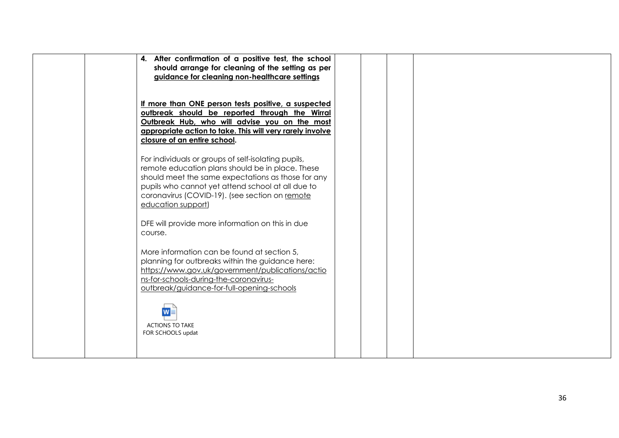| 4. After confirmation of a positive test, the school<br>should arrange for cleaning of the setting as per<br>guidance for cleaning non-healthcare settings                                                                                                                                 |  |  |  |  |
|--------------------------------------------------------------------------------------------------------------------------------------------------------------------------------------------------------------------------------------------------------------------------------------------|--|--|--|--|
| If more than ONE person tests positive, a suspected<br>outbreak should be reported through the Wirral<br>Outbreak Hub, who will advise you on the most<br>appropriate action to take. This will very rarely involve<br>closure of an entire school.                                        |  |  |  |  |
| For individuals or groups of self-isolating pupils,<br>remote education plans should be in place. These<br>should meet the same expectations as those for any<br>pupils who cannot yet attend school at all due to<br>coronavirus (COVID-19). (see section on remote<br>education support) |  |  |  |  |
| DFE will provide more information on this in due<br>course.                                                                                                                                                                                                                                |  |  |  |  |
| More information can be found at section 5,<br>planning for outbreaks within the guidance here:<br>https://www.gov.uk/government/publications/actio<br>ns-for-schools-during-the-coronavirus-<br>outbreak/guidance-for-full-opening-schools                                                |  |  |  |  |
| <b>ACTIONS TO TAKE</b><br>FOR SCHOOLS updat                                                                                                                                                                                                                                                |  |  |  |  |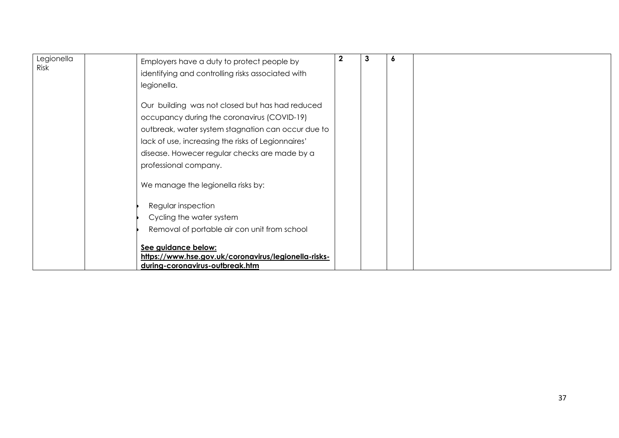| Legionella<br>Risk | Employers have a duty to protect people by           | $\mathbf 2$ | 6 |  |
|--------------------|------------------------------------------------------|-------------|---|--|
|                    | identifying and controlling risks associated with    |             |   |  |
|                    | legionella.                                          |             |   |  |
|                    | Our building was not closed but has had reduced      |             |   |  |
|                    | occupancy during the coronavirus (COVID-19)          |             |   |  |
|                    | outbreak, water system stagnation can occur due to   |             |   |  |
|                    | lack of use, increasing the risks of Legionnaires'   |             |   |  |
|                    | disease. Howecer regular checks are made by a        |             |   |  |
|                    | professional company.                                |             |   |  |
|                    | We manage the legionella risks by:                   |             |   |  |
|                    | Regular inspection                                   |             |   |  |
|                    | Cycling the water system                             |             |   |  |
|                    | Removal of portable air con unit from school         |             |   |  |
|                    | See guidance below:                                  |             |   |  |
|                    | https://www.hse.gov.uk/coronavirus/legionella-risks- |             |   |  |
|                    | during-coronavirus-outbreak.htm                      |             |   |  |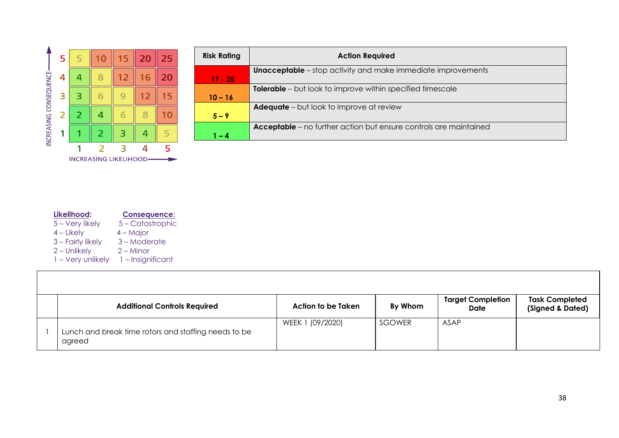

| <b>Risk Rating</b> | <b>Action Required</b>                                                   |
|--------------------|--------------------------------------------------------------------------|
|                    | <b>Unacceptable</b> – stop activity and make immediate improvements      |
| $17 - 25$          |                                                                          |
|                    | <b>Tolerable</b> – but look to improve within specified timescale        |
| $10 - 16$          |                                                                          |
|                    | <b>Adequate</b> – but look to improve at review                          |
| $5 - 9$            |                                                                          |
|                    | <b>Acceptable</b> – no further action but ensure controls are maintained |
| l – 4              |                                                                          |

| Likelihood:       | <b>Consequence:</b> |
|-------------------|---------------------|
| 5 – Very likely   | 5 – Catastrophic    |
| $4$ – Likely      | $4 -$ Major         |
| 3 - Fairly likely | 3-Moderate          |
| $2$ – Unlikely    | $2 -$ Minor         |
| 1 - Very unlikely | 1 - Insignificant   |

| <b>Additional Controls Required</b>                            | Action to be Taken | By Whom | <b>Target Completion</b><br>Date | <b>Task Completed</b><br>(Signed & Dated) |
|----------------------------------------------------------------|--------------------|---------|----------------------------------|-------------------------------------------|
| Lunch and break time rotors and staffing needs to be<br>agreed | WEEK 1 (09/2020)   | SGOWER  | ASAP                             |                                           |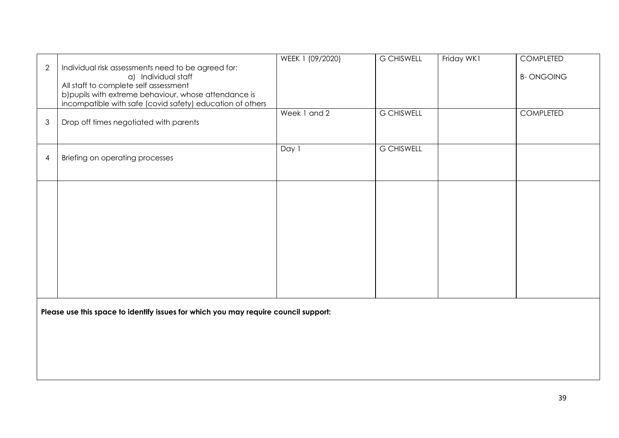| $\overline{2}$                                                                      | Individual risk assessments need to be agreed for:                                             | WEEK 1 (09/2020) | <b>G CHISWELL</b> | Friday WK1 | <b>COMPLETED</b> |
|-------------------------------------------------------------------------------------|------------------------------------------------------------------------------------------------|------------------|-------------------|------------|------------------|
|                                                                                     | a) Individual staff                                                                            |                  |                   |            | <b>B-ONGOING</b> |
|                                                                                     | All staff to complete self assessment<br>b) pupils with extreme behaviour, whose attendance is |                  |                   |            |                  |
|                                                                                     | incompatible with safe (covid safety) education of others                                      |                  |                   |            |                  |
| 3                                                                                   | Drop off times negotiated with parents                                                         | Week 1 and 2     | <b>G CHISWELL</b> |            | <b>COMPLETED</b> |
|                                                                                     |                                                                                                | Day 1            | <b>G CHISWELL</b> |            |                  |
| $\overline{4}$                                                                      | Briefing on operating processes                                                                |                  |                   |            |                  |
|                                                                                     |                                                                                                |                  |                   |            |                  |
|                                                                                     |                                                                                                |                  |                   |            |                  |
|                                                                                     |                                                                                                |                  |                   |            |                  |
|                                                                                     |                                                                                                |                  |                   |            |                  |
|                                                                                     |                                                                                                |                  |                   |            |                  |
|                                                                                     |                                                                                                |                  |                   |            |                  |
|                                                                                     |                                                                                                |                  |                   |            |                  |
|                                                                                     |                                                                                                |                  |                   |            |                  |
|                                                                                     |                                                                                                |                  |                   |            |                  |
| Please use this space to identify issues for which you may require council support: |                                                                                                |                  |                   |            |                  |
|                                                                                     |                                                                                                |                  |                   |            |                  |
|                                                                                     |                                                                                                |                  |                   |            |                  |
|                                                                                     |                                                                                                |                  |                   |            |                  |